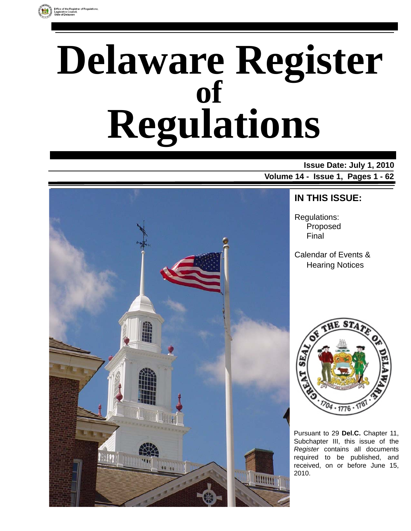# **Delaware Register Regulations of**

# **Issue Date: July 1, 2010**

**Volume 14 - Issue 1, Pages 1 - 62**



# **IN THIS ISSUE:**

Regulations: Proposed Final

Calendar of Events & Hearing Notices



Pursuant to 29 **Del.C.** Chapter 11, Subchapter III, this issue of the *Register* contains all documents required to be published, and received, on or before June 15, 2010.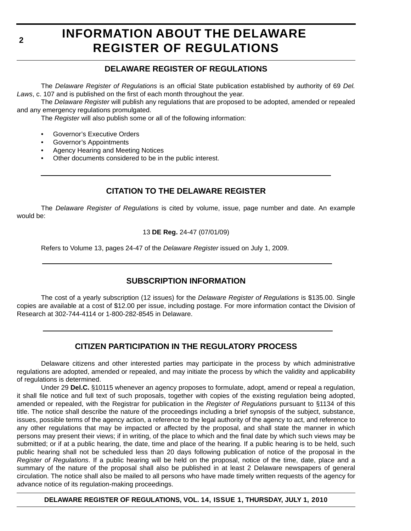# **INFORMATION ABOUT THE DELAWARE REGISTER OF REGULATIONS**

# **DELAWARE REGISTER OF REGULATIONS**

The *Delaware Register of Regulations* is an official State publication established by authority of 69 *Del. Laws*, c. 107 and is published on the first of each month throughout the year.

The *Delaware Register* will publish any regulations that are proposed to be adopted, amended or repealed and any emergency regulations promulgated.

The *Register* will also publish some or all of the following information:

- Governor's Executive Orders
- Governor's Appointments
- Agency Hearing and Meeting Notices
- Other documents considered to be in the public interest.

# **CITATION TO THE DELAWARE REGISTER**

The *Delaware Register of Regulations* is cited by volume, issue, page number and date. An example would be:

# 13 **DE Reg.** 24-47 (07/01/09)

Refers to Volume 13, pages 24-47 of the *Delaware Register* issued on July 1, 2009.

# **SUBSCRIPTION INFORMATION**

The cost of a yearly subscription (12 issues) for the *Delaware Register of Regulations* is \$135.00. Single copies are available at a cost of \$12.00 per issue, including postage. For more information contact the Division of Research at 302-744-4114 or 1-800-282-8545 in Delaware.

# **CITIZEN PARTICIPATION IN THE REGULATORY PROCESS**

Delaware citizens and other interested parties may participate in the process by which administrative regulations are adopted, amended or repealed, and may initiate the process by which the validity and applicability of regulations is determined.

Under 29 **Del.C.** §10115 whenever an agency proposes to formulate, adopt, amend or repeal a regulation, it shall file notice and full text of such proposals, together with copies of the existing regulation being adopted, amended or repealed, with the Registrar for publication in the *Register of Regulations* pursuant to §1134 of this title. The notice shall describe the nature of the proceedings including a brief synopsis of the subject, substance, issues, possible terms of the agency action, a reference to the legal authority of the agency to act, and reference to any other regulations that may be impacted or affected by the proposal, and shall state the manner in which persons may present their views; if in writing, of the place to which and the final date by which such views may be submitted; or if at a public hearing, the date, time and place of the hearing. If a public hearing is to be held, such public hearing shall not be scheduled less than 20 days following publication of notice of the proposal in the *Register of Regulations*. If a public hearing will be held on the proposal, notice of the time, date, place and a summary of the nature of the proposal shall also be published in at least 2 Delaware newspapers of general circulation. The notice shall also be mailed to all persons who have made timely written requests of the agency for advance notice of its regulation-making proceedings.

**DELAWARE REGISTER OF REGULATIONS, VOL. 14, ISSUE 1, THURSDAY, JULY 1, 2010**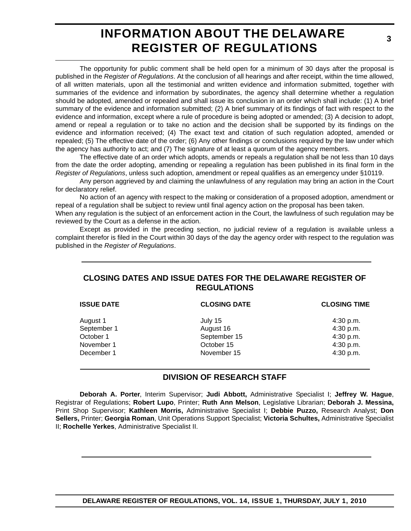# **INFORMATION ABOUT THE DELAWARE REGISTER OF REGULATIONS**

The opportunity for public comment shall be held open for a minimum of 30 days after the proposal is published in the *Register of Regulations*. At the conclusion of all hearings and after receipt, within the time allowed, of all written materials, upon all the testimonial and written evidence and information submitted, together with summaries of the evidence and information by subordinates, the agency shall determine whether a regulation should be adopted, amended or repealed and shall issue its conclusion in an order which shall include: (1) A brief summary of the evidence and information submitted; (2) A brief summary of its findings of fact with respect to the evidence and information, except where a rule of procedure is being adopted or amended; (3) A decision to adopt, amend or repeal a regulation or to take no action and the decision shall be supported by its findings on the evidence and information received; (4) The exact text and citation of such regulation adopted, amended or repealed; (5) The effective date of the order; (6) Any other findings or conclusions required by the law under which the agency has authority to act; and (7) The signature of at least a quorum of the agency members.

The effective date of an order which adopts, amends or repeals a regulation shall be not less than 10 days from the date the order adopting, amending or repealing a regulation has been published in its final form in the *Register of Regulations*, unless such adoption, amendment or repeal qualifies as an emergency under §10119.

Any person aggrieved by and claiming the unlawfulness of any regulation may bring an action in the Court for declaratory relief.

No action of an agency with respect to the making or consideration of a proposed adoption, amendment or repeal of a regulation shall be subject to review until final agency action on the proposal has been taken.

When any regulation is the subject of an enforcement action in the Court, the lawfulness of such regulation may be reviewed by the Court as a defense in the action.

Except as provided in the preceding section, no judicial review of a regulation is available unless a complaint therefor is filed in the Court within 30 days of the day the agency order with respect to the regulation was published in the *Register of Regulations*.

# **CLOSING DATES AND ISSUE DATES FOR THE DELAWARE REGISTER OF REGULATIONS**

| <b>ISSUE DATE</b> | <b>CLOSING DATE</b> | <b>CLOSING TIME</b> |
|-------------------|---------------------|---------------------|
| August 1          | July 15             | 4:30 p.m.           |
| September 1       | August 16           | 4:30 p.m.           |
| October 1         | September 15        | 4:30 p.m.           |
| November 1        | October 15          | 4:30 p.m.           |
| December 1        | November 15         | 4:30 p.m.           |

# **DIVISION OF RESEARCH STAFF**

**Deborah A. Porter**, Interim Supervisor; **Judi Abbott,** Administrative Specialist I; **Jeffrey W. Hague**, Registrar of Regulations; **Robert Lupo**, Printer; **Ruth Ann Melson**, Legislative Librarian; **Deborah J. Messina,** Print Shop Supervisor; **Kathleen Morris,** Administrative Specialist I; **Debbie Puzzo,** Research Analyst; **Don Sellers,** Printer; **Georgia Roman**, Unit Operations Support Specialist; **Victoria Schultes,** Administrative Specialist II; **Rochelle Yerkes**, Administrative Specialist II.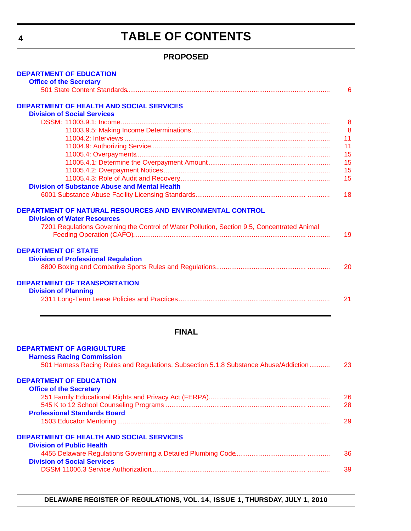# **TABLE OF CONTENTS**

# **PROPOSED**

<span id="page-3-0"></span>

| <b>DEPARTMENT OF EDUCATION</b>                                                              |    |
|---------------------------------------------------------------------------------------------|----|
| <b>Office of the Secretary</b>                                                              | 6  |
|                                                                                             |    |
| <b>DEPARTMENT OF HEALTH AND SOCIAL SERVICES</b>                                             |    |
| <b>Division of Social Services</b>                                                          |    |
|                                                                                             | 8  |
|                                                                                             | 8  |
|                                                                                             | 11 |
|                                                                                             | 11 |
|                                                                                             | 15 |
|                                                                                             | 15 |
|                                                                                             | 15 |
|                                                                                             | 15 |
| <b>Division of Substance Abuse and Mental Health</b>                                        |    |
|                                                                                             | 18 |
| DEPARTMENT OF NATURAL RESOURCES AND ENVIRONMENTAL CONTROL                                   |    |
| <b>Division of Water Resources</b>                                                          |    |
| 7201 Regulations Governing the Control of Water Pollution, Section 9.5, Concentrated Animal |    |
|                                                                                             | 19 |
|                                                                                             |    |
| <b>DEPARTMENT OF STATE</b>                                                                  |    |
| <b>Division of Professional Regulation</b>                                                  |    |
|                                                                                             | 20 |
| <b>DEPARTMENT OF TRANSPORTATION</b>                                                         |    |
| <b>Division of Planning</b>                                                                 |    |
|                                                                                             | 21 |
|                                                                                             |    |
|                                                                                             |    |
| <b>FINAL</b>                                                                                |    |
| <b>DEPARTMENT OF AGRIGULTURE</b>                                                            |    |
| <b>Harness Racing Commission</b>                                                            |    |
| 501 Harness Racing Rules and Regulations, Subsection 5.1.8 Substance Abuse/Addiction        | 23 |
|                                                                                             |    |
| <b>DEPARTMENT OF EDUCATION</b>                                                              |    |
| <b>Office of the Secretary</b>                                                              |    |
|                                                                                             | 26 |
|                                                                                             | 28 |
| <b>Professional Standards Board</b>                                                         |    |
|                                                                                             | 29 |
| <b>DEPARTMENT OF HEALTH AND SOCIAL SERVICES</b>                                             |    |
| <b>Division of Public Health</b>                                                            |    |
|                                                                                             | 36 |
| <b>Division of Social Services</b>                                                          |    |
|                                                                                             | 39 |
|                                                                                             |    |

**DELAWARE REGISTER OF REGULATIONS, VOL. 14, ISSUE 1, THURSDAY, JULY 1, 2010**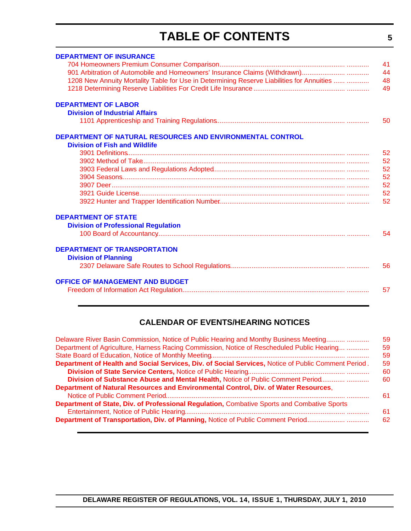# **TABLE OF CONTENTS**

<span id="page-4-0"></span>

| <b>DEPARTMENT OF INSURANCE</b>                                                            | 41 |
|-------------------------------------------------------------------------------------------|----|
| 901 Arbitration of Automobile and Homeowners' Insurance Claims (Withdrawn)                | 44 |
| 1208 New Annuity Mortality Table for Use in Determining Reserve Liabilities for Annuities | 48 |
|                                                                                           | 49 |
| <b>DEPARTMENT OF LABOR</b>                                                                |    |
| <b>Division of Industrial Affairs</b>                                                     |    |
|                                                                                           | 50 |
| DEPARTMENT OF NATURAL RESOURCES AND ENVIRONMENTAL CONTROL                                 |    |
| <b>Division of Fish and Wildlife</b>                                                      |    |
|                                                                                           | 52 |
|                                                                                           | 52 |
|                                                                                           | 52 |
|                                                                                           | 52 |
|                                                                                           | 52 |
|                                                                                           | 52 |
|                                                                                           | 52 |
| <b>DEPARTMENT OF STATE</b>                                                                |    |
| <b>Division of Professional Regulation</b>                                                |    |
|                                                                                           | 54 |
| <b>DEPARTMENT OF TRANSPORTATION</b>                                                       |    |
| <b>Division of Planning</b>                                                               |    |
|                                                                                           | 56 |
| <b>OFFICE OF MANAGEMENT AND BUDGET</b>                                                    |    |
|                                                                                           | 57 |
|                                                                                           |    |

# **CALENDAR OF EVENTS/HEARING NOTICES**

| Delaware River Basin Commission, Notice of Public Hearing and Monthy Business Meeting               | 59 |
|-----------------------------------------------------------------------------------------------------|----|
| Department of Agriculture, Harness Racing Commission, Notice of Rescheduled Public Hearing          | 59 |
|                                                                                                     | 59 |
| Department of Health and Social Services, Div. of Social Services, Notice of Public Comment Period. | 59 |
|                                                                                                     | 60 |
| Division of Substance Abuse and Mental Health, Notice of Public Comment Period                      | 60 |
| Department of Natural Resources and Environmental Control, Div. of Water Resources,                 |    |
|                                                                                                     | 61 |
| Department of State, Div. of Professional Regulation, Combative Sports and Combative Sports         |    |
|                                                                                                     | 61 |
| Department of Transportation, Div. of Planning, Notice of Public Comment Period                     | 62 |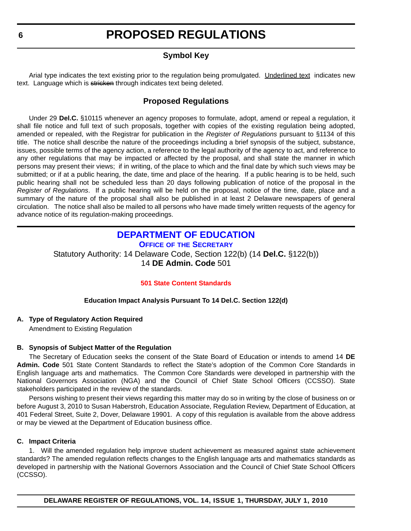# **Symbol Key**

<span id="page-5-0"></span>Arial type indicates the text existing prior to the regulation being promulgated. Underlined text indicates new text. Language which is stricken through indicates text being deleted.

# **Proposed Regulations**

Under 29 **Del.C.** §10115 whenever an agency proposes to formulate, adopt, amend or repeal a regulation, it shall file notice and full text of such proposals, together with copies of the existing regulation being adopted, amended or repealed, with the Registrar for publication in the *Register of Regulations* pursuant to §1134 of this title. The notice shall describe the nature of the proceedings including a brief synopsis of the subject, substance, issues, possible terms of the agency action, a reference to the legal authority of the agency to act, and reference to any other regulations that may be impacted or affected by the proposal, and shall state the manner in which persons may present their views; if in writing, of the place to which and the final date by which such views may be submitted; or if at a public hearing, the date, time and place of the hearing. If a public hearing is to be held, such public hearing shall not be scheduled less than 20 days following publication of notice of the proposal in the *Register of Regulations*. If a public hearing will be held on the proposal, notice of the time, date, place and a summary of the nature of the proposal shall also be published in at least 2 Delaware newspapers of general circulation. The notice shall also be mailed to all persons who have made timely written requests of the agency for advance notice of its regulation-making proceedings.

# **[DEPARTMENT OF EDUCATION](http://www.doe.k12.de.us/)**

**OFFICE OF THE SECRETARY** Statutory Authority: 14 Delaware Code, Section 122(b) (14 **Del.C.** §122(b)) 14 **DE Admin. Code** 501

# **[501 State Content Standards](#page-3-0)**

# **Education Impact Analysis Pursuant To 14 Del.C. Section 122(d)**

# **A. Type of Regulatory Action Required**

Amendment to Existing Regulation

# **B. Synopsis of Subject Matter of the Regulation**

The Secretary of Education seeks the consent of the State Board of Education or intends to amend 14 **DE Admin. Code** 501 State Content Standards to reflect the State's adoption of the Common Core Standards in English language arts and mathematics. The Common Core Standards were developed in partnership with the National Governors Association (NGA) and the Council of Chief State School Officers (CCSSO). State stakeholders participated in the review of the standards.

Persons wishing to present their views regarding this matter may do so in writing by the close of business on or before August 3, 2010 to Susan Haberstroh, Education Associate, Regulation Review, Department of Education, at 401 Federal Street, Suite 2, Dover, Delaware 19901. A copy of this regulation is available from the above address or may be viewed at the Department of Education business office.

# **C. Impact Criteria**

1. Will the amended regulation help improve student achievement as measured against state achievement standards? The amended regulation reflects changes to the English language arts and mathematics standards as developed in partnership with the National Governors Association and the Council of Chief State School Officers (CCSSO).

**DELAWARE REGISTER OF REGULATIONS, VOL. 14, ISSUE 1, THURSDAY, JULY 1, 2010**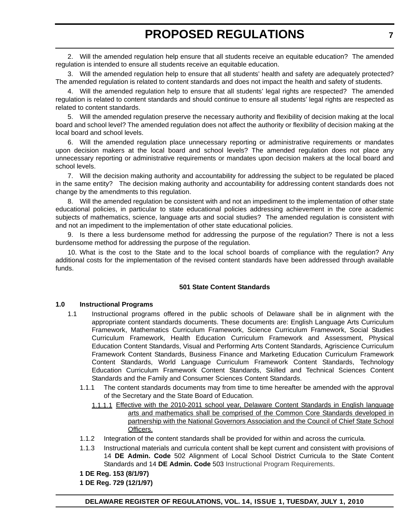2. Will the amended regulation help ensure that all students receive an equitable education? The amended regulation is intended to ensure all students receive an equitable education.

3. Will the amended regulation help to ensure that all students' health and safety are adequately protected? The amended regulation is related to content standards and does not impact the health and safety of students.

4. Will the amended regulation help to ensure that all students' legal rights are respected? The amended regulation is related to content standards and should continue to ensure all students' legal rights are respected as related to content standards.

5. Will the amended regulation preserve the necessary authority and flexibility of decision making at the local board and school level? The amended regulation does not affect the authority or flexibility of decision making at the local board and school levels.

6. Will the amended regulation place unnecessary reporting or administrative requirements or mandates upon decision makers at the local board and school levels? The amended regulation does not place any unnecessary reporting or administrative requirements or mandates upon decision makers at the local board and school levels.

7. Will the decision making authority and accountability for addressing the subject to be regulated be placed in the same entity? The decision making authority and accountability for addressing content standards does not change by the amendments to this regulation.

8. Will the amended regulation be consistent with and not an impediment to the implementation of other state educational policies, in particular to state educational policies addressing achievement in the core academic subjects of mathematics, science, language arts and social studies? The amended regulation is consistent with and not an impediment to the implementation of other state educational policies.

9. Is there a less burdensome method for addressing the purpose of the regulation? There is not a less burdensome method for addressing the purpose of the regulation.

10. What is the cost to the State and to the local school boards of compliance with the regulation? Any additional costs for the implementation of the revised content standards have been addressed through available funds.

# **501 State Content Standards**

# **1.0 Instructional Programs**

- 1.1 Instructional programs offered in the public schools of Delaware shall be in alignment with the appropriate content standards documents. These documents are: English Language Arts Curriculum Framework, Mathematics Curriculum Framework, Science Curriculum Framework, Social Studies Curriculum Framework, Health Education Curriculum Framework and Assessment, Physical Education Content Standards, Visual and Performing Arts Content Standards, Agriscience Curriculum Framework Content Standards, Business Finance and Marketing Education Curriculum Framework Content Standards, World Language Curriculum Framework Content Standards, Technology Education Curriculum Framework Content Standards, Skilled and Technical Sciences Content Standards and the Family and Consumer Sciences Content Standards.
	- 1.1.1 The content standards documents may from time to time hereafter be amended with the approval of the Secretary and the State Board of Education.
		- 1.1.1.1 Effective with the 2010-2011 school year, Delaware Content Standards in English language arts and mathematics shall be comprised of the Common Core Standards developed in partnership with the National Governors Association and the Council of Chief State School Officers.
	- 1.1.2 Integration of the content standards shall be provided for within and across the curricula.
	- 1.1.3 Instructional materials and curricula content shall be kept current and consistent with provisions of 14 **DE Admin. Code** 502 Alignment of Local School District Curricula to the State Content Standards and 14 **DE Admin. Code** 503 Instructional Program Requirements.
	- **1 DE Reg. 153 (8/1/97)**
	- **1 DE Reg. 729 (12/1/97)**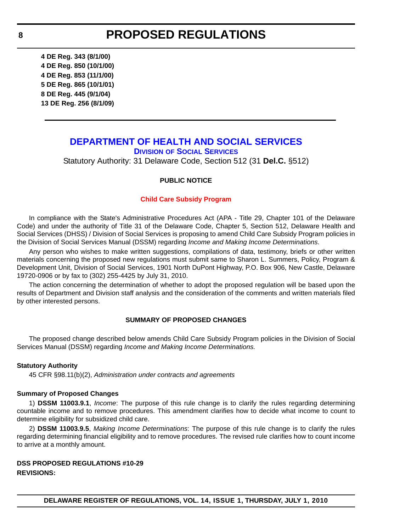<span id="page-7-0"></span>**4 DE Reg. 343 (8/1/00) 4 DE Reg. 850 (10/1/00) 4 DE Reg. 853 (11/1/00) 5 DE Reg. 865 (10/1/01) 8 DE Reg. 445 (9/1/04) 13 DE Reg. 256 (8/1/09)**

# **[DEPARTMENT OF HEALTH AND SOCIAL SERVICES](http://www.dhss.delaware.gov/dhss/dss/index.html)**

**DIVISION OF SOCIAL SERVICES** Statutory Authority: 31 Delaware Code, Section 512 (31 **Del.C.** §512)

# **PUBLIC NOTICE**

#### **[Child Care Subsidy Program](#page-3-0)**

In compliance with the State's Administrative Procedures Act (APA - Title 29, Chapter 101 of the Delaware Code) and under the authority of Title 31 of the Delaware Code, Chapter 5, Section 512, Delaware Health and Social Services (DHSS) / Division of Social Services is proposing to amend Child Care Subsidy Program policies in the Division of Social Services Manual (DSSM) regarding *Income and Making Income Determinations*.

Any person who wishes to make written suggestions, compilations of data, testimony, briefs or other written materials concerning the proposed new regulations must submit same to Sharon L. Summers, Policy, Program & Development Unit, Division of Social Services, 1901 North DuPont Highway, P.O. Box 906, New Castle, Delaware 19720-0906 or by fax to (302) 255-4425 by July 31, 2010.

The action concerning the determination of whether to adopt the proposed regulation will be based upon the results of Department and Division staff analysis and the consideration of the comments and written materials filed by other interested persons.

#### **SUMMARY OF PROPOSED CHANGES**

The proposed change described below amends Child Care Subsidy Program policies in the Division of Social Services Manual (DSSM) regarding *Income and Making Income Determinations.*

#### **Statutory Authority**

45 CFR §98.11(b)(2), *Administration under contracts and agreements*

### **Summary of Proposed Changes**

1) **DSSM 11003.9.1**, *Income*: The purpose of this rule change is to clarify the rules regarding determining countable income and to remove procedures. This amendment clarifies how to decide what income to count to determine eligibility for subsidized child care.

2) **DSSM 11003.9.5**, *Making Income Determinations*: The purpose of this rule change is to clarify the rules regarding determining financial eligibility and to remove procedures. The revised rule clarifies how to count income to arrive at a monthly amount.

# **DSS PROPOSED REGULATIONS #10-29 REVISIONS:**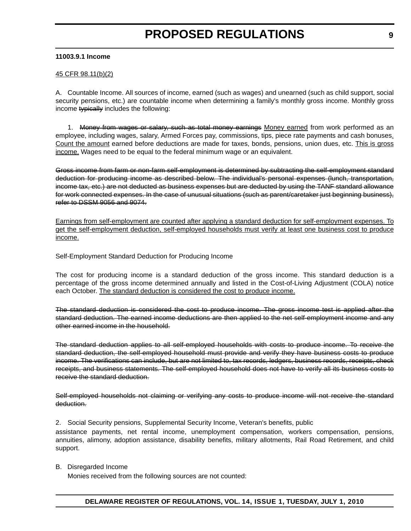### **11003.9.1 Income**

### 45 CFR 98.11(b)(2)

A. Countable Income. All sources of income, earned (such as wages) and unearned (such as child support, social security pensions, etc.) are countable income when determining a family's monthly gross income. Monthly gross income typically includes the following:

1. Money from wages or salary, such as total money earnings Money earned from work performed as an employee, including wages, salary, Armed Forces pay, commissions, tips, piece rate payments and cash bonuses. Count the amount earned before deductions are made for taxes, bonds, pensions, union dues, etc. This is gross income. Wages need to be equal to the federal minimum wage or an equivalent.

Gross income from farm or non-farm self-employment is determined by subtracting the self-employment standard deduction for producing income as described below. The individual's personal expenses (lunch, transportation, income tax, etc.) are not deducted as business expenses but are deducted by using the TANF standard allowance for work connected expenses. In the case of unusual situations (such as parent/caretaker just beginning business), refer to DSSM 9056 and 9074.

Earnings from self-employment are counted after applying a standard deduction for self-employment expenses. To get the self-employment deduction, self-employed households must verify at least one business cost to produce income.

Self-Employment Standard Deduction for Producing Income

The cost for producing income is a standard deduction of the gross income. This standard deduction is a percentage of the gross income determined annually and listed in the Cost-of-Living Adjustment (COLA) notice each October. The standard deduction is considered the cost to produce income.

The standard deduction is considered the cost to produce income. The gross income test is applied after the standard deduction. The earned income deductions are then applied to the net self-employment income and any other earned income in the household.

The standard deduction applies to all self-employed households with costs to produce income. To receive the standard deduction, the self-employed household must provide and verify they have business costs to produce income. The verifications can include, but are not limited to, tax records, ledgers, business records, receipts, check receipts, and business statements. The self-employed household does not have to verify all its business costs to receive the standard deduction.

Self-employed households not claiming or verifying any costs to produce income will not receive the standard deduction.

2. Social Security pensions, Supplemental Security Income, Veteran's benefits, public

assistance payments, net rental income, unemployment compensation, workers compensation, pensions, annuities, alimony, adoption assistance, disability benefits, military allotments, Rail Road Retirement, and child support.

B. Disregarded Income

Monies received from the following sources are not counted: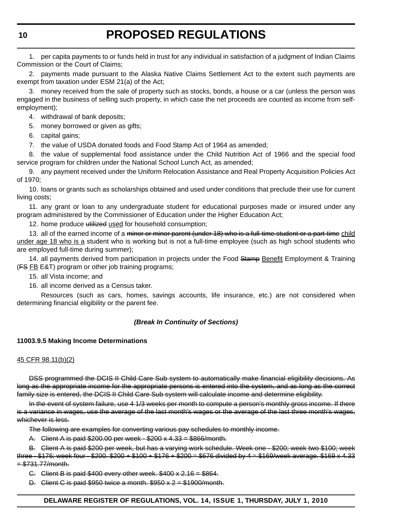1. per capita payments to or funds held in trust for any individual in satisfaction of a judgment of Indian Claims Commission or the Court of Claims;

2. payments made pursuant to the Alaska Native Claims Settlement Act to the extent such payments are exempt from taxation under ESM 21(a) of the Act;

3. money received from the sale of property such as stocks, bonds, a house or a car (unless the person was engaged in the business of selling such property, in which case the net proceeds are counted as income from selfemployment);

4. withdrawal of bank deposits;

5. money borrowed or given as gifts;

6. capital gains;

7. the value of USDA donated foods and Food Stamp Act of 1964 as amended;

8. the value of supplemental food assistance under the Child Nutrition Act of 1966 and the special food service program for children under the National School Lunch Act, as amended;

9. any payment received under the Uniform Relocation Assistance and Real Property Acquisition Policies Act of 1970;

10. loans or grants such as scholarships obtained and used under conditions that preclude their use for current living costs;

11. any grant or loan to any undergraduate student for educational purposes made or insured under any program administered by the Commissioner of Education under the Higher Education Act;

12. home produce utilized used for household consumption;

13. all of the earned income of a minor or minor parent (under 18) who is a full-time student or a part-time child under age 18 who is a student who is working but is not a full-time employee (such as high school students who are employed full-time during summer);

14. all payments derived from participation in projects under the Food Stamp Benefit Employment & Training  $(FS FB E&T)$  program or other job training programs;

15. all Vista income; and

16. all income derived as a Census taker.

Resources (such as cars, homes, savings accounts, life insurance, etc.) are not considered when determining financial eligibility or the parent fee.

# *(Break In Continuity of Sections)*

# **11003.9.5 Making Income Determinations**

# 45 CFR 98.11(b)(2)

DSS programmed the DCIS II Child Care Sub system to automatically make financial eligibility decisions. As long as the appropriate income for the appropriate persons is entered into the system, and as long as the correct family size is entered, the DCIS II Child Care Sub system will calculate income and determine eligibility.

In the event of system failure, use 4 1/3 weeks per month to compute a person's monthly gross income. If there is a variance in wages, use the average of the last month's wages or the average of the last three month's wages, whichever is less.

The following are examples for converting various pay schedules to monthly income.

A. Client A is paid \$200.00 per week - \$200 x 4.33 = \$866/month.

B. Client A is paid \$200 per week, but has a varying work schedule. Week one - \$200; week two \$100; week three  $-$  \$176; week four  $-$  \$200.  $\frac{200}{7}$  + \$100 + \$176 + \$200 = \$676 divided by 4 = \$169/week average. \$169 x 4.33  $= $731.77/m$ onth.

C. Client B is paid \$400 every other week. \$400 x 2.16 = \$864.

D. Client C is paid  $$950$  twice a month.  $$950 \times 2 = $1900/m$ onth.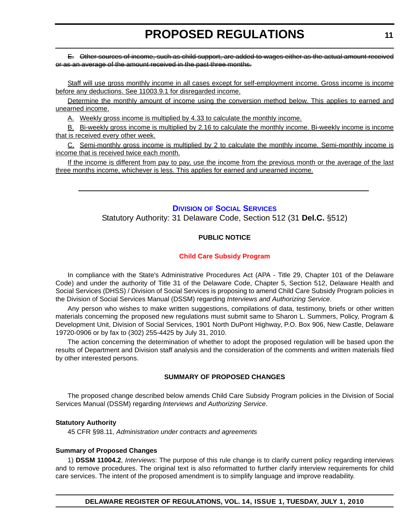<span id="page-10-0"></span>E. Other sources of income, such as child support, are added to wages either as the actual amount received or as an average of the amount received in the past three months.

Staff will use gross monthly income in all cases except for self-employment income. Gross income is income before any deductions. See 11003.9.1 for disregarded income.

Determine the monthly amount of income using the conversion method below. This applies to earned and unearned income.

A. Weekly gross income is multiplied by 4.33 to calculate the monthly income.

B. Bi-weekly gross income is multiplied by 2.16 to calculate the monthly income. Bi-weekly income is income that is received every other week.

C. Semi-monthly gross income is multiplied by 2 to calculate the monthly income. Semi-monthly income is income that is received twice each month.

If the income is different from pay to pay, use the income from the previous month or the average of the last three months income, whichever is less. This applies for earned and unearned income.

# **DIVISION [OF SOCIAL SERVICES](http://www.dhss.delaware.gov/dhss/dss/index.html)**

Statutory Authority: 31 Delaware Code, Section 512 (31 **Del.C.** §512)

# **PUBLIC NOTICE**

# **[Child Care Subsidy Program](#page-3-0)**

In compliance with the State's Administrative Procedures Act (APA - Title 29, Chapter 101 of the Delaware Code) and under the authority of Title 31 of the Delaware Code, Chapter 5, Section 512, Delaware Health and Social Services (DHSS) / Division of Social Services is proposing to amend Child Care Subsidy Program policies in the Division of Social Services Manual (DSSM) regarding *Interviews and Authorizing Service*.

Any person who wishes to make written suggestions, compilations of data, testimony, briefs or other written materials concerning the proposed new regulations must submit same to Sharon L. Summers, Policy, Program & Development Unit, Division of Social Services, 1901 North DuPont Highway, P.O. Box 906, New Castle, Delaware 19720-0906 or by fax to (302) 255-4425 by July 31, 2010.

The action concerning the determination of whether to adopt the proposed regulation will be based upon the results of Department and Division staff analysis and the consideration of the comments and written materials filed by other interested persons.

# **SUMMARY OF PROPOSED CHANGES**

The proposed change described below amends Child Care Subsidy Program policies in the Division of Social Services Manual (DSSM) regarding *Interviews and Authorizing Service*.

# **Statutory Authority**

45 CFR §98.11, *Administration under contracts and agreements*

### **Summary of Proposed Changes**

1) **DSSM 11004.2**, *Interviews*: The purpose of this rule change is to clarify current policy regarding interviews and to remove procedures. The original text is also reformatted to further clarify interview requirements for child care services. The intent of the proposed amendment is to simplify language and improve readability.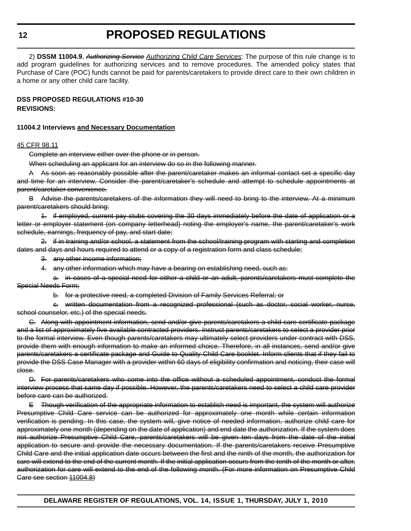**12**

# **PROPOSED REGULATIONS**

2) **DSSM 11004.9**, *Authorizing Service Authorizing Child Care Services*: The purpose of this rule change is to add program guidelines for authorizing services and to remove procedures. The amended policy states that Purchase of Care (POC) funds cannot be paid for parents/caretakers to provide direct care to their own children in a home or any other child care facility.

# **DSS PROPOSED REGULATIONS #10-30 REVISIONS:**

# **11004.2 Interviews and Necessary Documentation**

# 45 CFR 98.11

Complete an interview either over the phone or in person.

When scheduling an applicant for an interview do so in the following manner.

A As soon as reasonably possible after the parent/caretaker makes an informal contact set a specific day and time for an interview. Consider the parent/caretaker's schedule and attempt to schedule appointments at parent/caretaker convenience.

B Advise the parents/caretakers of the information they will need to bring to the interview. At a minimum parent/caretakers should bring:

1. if employed, current pay stubs covering the 30 days immediately before the date of application or a letter or employer statement (on company letterhead) noting the employer's name, the parent/caretaker's work schedule, earnings, frequency of pay, and start date;

2. if in training and/or school, a statement from the school/training program with starting and completion dates and days and hours required to attend or a copy of a registration form and class schedule;

- 3. any other income information;
- 4. any other information which may have a bearing on establishing need, such as:

a. in cases of a special need for either a child or an adult, parents/caretakers must complete the Special Needs Form;

b. for a protective need, a completed Division of Family Services Referral; or

c. written documentation from a recognized professional (such as doctor, social worker, nurse, school counselor, etc.) of the special needs.

C. Along with appointment information, send and/or give parents/caretakers a child care certificate package and a list of approximately five available contracted providers. Instruct parents/caretakers to select a provider prior to the formal interview. Even though parents/caretakers may ultimately select providers under contract with DSS, provide them with enough information to make an informed choice. Therefore, in all instances, send and/or give parents/caretakers a certificate package and Guide to Quality Child Care booklet. Inform clients that if they fail to provide the DSS Case Manager with a provider within 60 days of eligibility confirmation and noticing, their case will close.

D. For parents/caretakers who come into the office without a scheduled appointment, conduct the formal interview process that same day if possible. However, the parents/caretakers need to select a child care provider before care can be authorized.

E Though verification of the appropriate information to establish need is important, the system will authorize Presumptive Child Care service can be authorized for approximately one month while certain information verification is pending. In this case, the system will, give notice of needed information, authorize child care for approximately one month (depending on the date of application) and end date the authorization. If the system does not authorize Presumptive Child Care, parents/caretakers will be given ten days from the date of the initial application to secure and provide the necessary documentation. If the parents/caretakers receive Presumptive Child Care and the initial application date occurs between the first and the ninth of the month, the authorization for care will extend to the end of the current month. If the initial application occurs from the tenth of the month or after, authorization for care will extend to the end of the following month. (For more information on Presumptive Child Care see section 11004.8)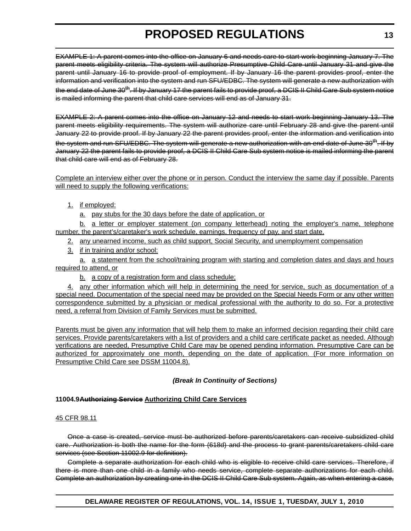EXAMPLE 1: A parent comes into the office on January 6 and needs care to start work beginning January 7. The parent meets eligibility criteria. The system will authorize Presumptive Child Care until January 31 and give the parent until January 16 to provide proof of employment. If by January 16 the parent provides proof, enter the information and verification into the system and run SFU/EDBC. The system will generate a new authorization with the end date of June 30<sup>th</sup>. If by January 17 the parent fails to provide proof, a DCIS II Child Care Sub system notice is mailed informing the parent that child care services will end as of January 31.

EXAMPLE 2: A parent comes into the office on January 12 and needs to start work beginning January 13. The parent meets eligibility requirements. The system will authorize care until February 28 and give the parent until January 22 to provide proof. If by January 22 the parent provides proof, enter the information and verification into the system and run SFU/EDBC. The system will generate a new authorization with an end date of June 30<sup>th</sup>. If by January 22 the parent fails to provide proof, a DCIS II Child Care Sub system notice is mailed informing the parent that child care will end as of February 28.

Complete an interview either over the phone or in person. Conduct the interview the same day if possible. Parents will need to supply the following verifications:

# 1. if employed:

a. pay stubs for the 30 days before the date of application, or

b. a letter or employer statement (on company letterhead) noting the employer's name, telephone number, the parent's/caretaker's work schedule, earnings, frequency of pay, and start date,

2. any unearned income, such as child support, Social Security, and unemployment compensation

3. if in training and/or school:

a. a statement from the school/training program with starting and completion dates and days and hours required to attend, or

b. a copy of a registration form and class schedule;

4. any other information which will help in determining the need for service, such as documentation of a special need. Documentation of the special need may be provided on the Special Needs Form or any other written correspondence submitted by a physician or medical professional with the authority to do so. For a protective need, a referral from Division of Family Services must be submitted.

Parents must be given any information that will help them to make an informed decision regarding their child care services. Provide parents/caretakers with a list of providers and a child care certificate packet as needed. Although verifications are needed, Presumptive Child Care may be opened pending information. Presumptive Care can be authorized for approximately one month, depending on the date of application. (For more information on Presumptive Child Care see DSSM 11004.8).

# *(Break In Continuity of Sections)*

# **11004.9Authorizing Service Authorizing Child Care Services**

# 45 CFR 98.11

Once a case is created, service must be authorized before parents/caretakers can receive subsidized child care. Authorization is both the name for the form (618d) and the process to grant parents/caretakers child care services (see Section 11002.9 for definition).

Complete a separate authorization for each child who is eligible to receive child care services. Therefore, if there is more than one child in a family who needs service, complete separate authorizations for each child. Complete an authorization by creating one in the DCIS II Child Care Sub system. Again, as when entering a case,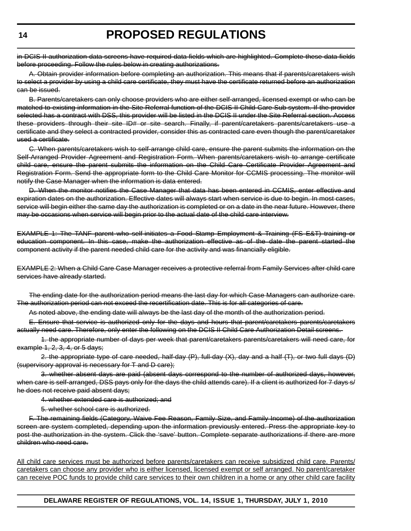in DCIS II authorization data screens have required data fields which are highlighted. Complete these data fields before proceeding. Follow the rules below in creating authorizations.

A. Obtain provider information before completing an authorization. This means that if parents/caretakers wish to select a provider by using a child care certificate, they must have the certificate returned before an authorization can be issued.

B. Parents/caretakers can only choose providers who are either self-arranged, licensed exempt or who can be matched to existing information in the Site Referral function of the DCIS II Child Care Sub system. If the provider selected has a contract with DSS, this provider will be listed in the DCIS II under the Site Referral section. Access these providers through their site ID# or site search. Finally, if parent/caretakers parents/caretakers use a certificate and they select a contracted provider, consider this as contracted care even though the parent/caretaker used a certificate.

C. When parents/caretakers wish to self-arrange child care, ensure the parent submits the information on the Self-Arranged Provider Agreement and Registration Form. When parents/caretakers wish to arrange certificate child care, ensure the parent submits the information on the Child Care Certificate Provider Agreement and Registration Form. Send the appropriate form to the Child Care Monitor for CCMIS processing. The monitor will notify the Case Manager when the information is data entered.

D. When the monitor notifies the Case Manager that data has been entered in CCMIS, enter effective and expiration dates on the authorization. Effective dates will always start when service is due to begin. In most cases, service will begin either the same day the authorization is completed or on a date in the near future. However, there may be occasions when service will begin prior to the actual date of the child care interview.

EXAMPLE 1: The TANF parent who self-initiates a Food Stamp Employment & Training (FS E&T) training or education component. In this case, make the authorization effective as of the date the parent started the component activity if the parent needed child care for the activity and was financially eligible.

EXAMPLE 2: When a Child Care Case Manager receives a protective referral from Family Services after child care services have already started.

The ending date for the authorization period means the last day for which Case Managers can authorize care. The authorization period can not exceed the recertification date. This is for all categories of care.

As noted above, the ending date will always be the last day of the month of the authorization period.

E. Ensure that service is authorized only for the days and hours that parent/caretakers parents/caretakers actually need care. Therefore, only enter the following on the DCIS II Child Care Authorization Detail screens.

1. the appropriate number of days per week that parent/caretakers parents/caretakers will need care, for example 1, 2, 3, 4, or 5 days;

2. the appropriate type of care needed, half-day (P), full-day (X), day and a half (T), or two full days (D) (supervisory approval is necessary for T and D care);

3. whether absent days are paid (absent days correspond to the number of authorized days, however, when care is self-arranged, DSS pays only for the days the child attends care). If a client is authorized for 7 days s/ he does not receive paid absent days;

4. whether extended care is authorized; and

5. whether school care is authorized.

F. The remaining fields (Category, Waive Fee Reason, Family Size, and Family Income) of the authorization screen are system completed, depending upon the information previously entered. Press the appropriate key to post the authorization in the system. Click the 'save' button. Complete separate authorizations if there are more children who need care.

All child care services must be authorized before parents/caretakers can receive subsidized child care. Parents/ caretakers can choose any provider who is either licensed, licensed exempt or self arranged. No parent/caretaker can receive POC funds to provide child care services to their own children in a home or any other child care facility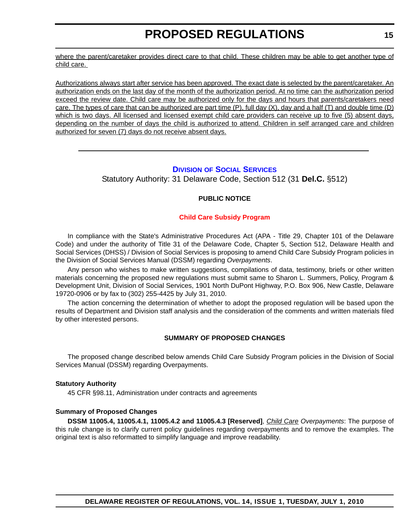<span id="page-14-0"></span>where the parent/caretaker provides direct care to that child. These children may be able to get another type of child care.

Authorizations always start after service has been approved. The exact date is selected by the parent/caretaker. An authorization ends on the last day of the month of the authorization period. At no time can the authorization period exceed the review date. Child care may be authorized only for the days and hours that parents/caretakers need care. The types of care that can be authorized are part time (P), full day (X), day and a half (T) and double time (D) which is two days. All licensed and licensed exempt child care providers can receive up to five (5) absent days, depending on the number of days the child is authorized to attend. Children in self arranged care and children authorized for seven (7) days do not receive absent days.

# **DIVISION [OF SOCIAL SERVICES](http://www.dhss.delaware.gov/dhss/dss/index.html)**

Statutory Authority: 31 Delaware Code, Section 512 (31 **Del.C.** §512)

# **PUBLIC NOTICE**

# **[Child Care Subsidy Program](#page-3-0)**

In compliance with the State's Administrative Procedures Act (APA - Title 29, Chapter 101 of the Delaware Code) and under the authority of Title 31 of the Delaware Code, Chapter 5, Section 512, Delaware Health and Social Services (DHSS) / Division of Social Services is proposing to amend Child Care Subsidy Program policies in the Division of Social Services Manual (DSSM) regarding *Overpayments*.

Any person who wishes to make written suggestions, compilations of data, testimony, briefs or other written materials concerning the proposed new regulations must submit same to Sharon L. Summers, Policy, Program & Development Unit, Division of Social Services, 1901 North DuPont Highway, P.O. Box 906, New Castle, Delaware 19720-0906 or by fax to (302) 255-4425 by July 31, 2010.

The action concerning the determination of whether to adopt the proposed regulation will be based upon the results of Department and Division staff analysis and the consideration of the comments and written materials filed by other interested persons.

# **SUMMARY OF PROPOSED CHANGES**

The proposed change described below amends Child Care Subsidy Program policies in the Division of Social Services Manual (DSSM) regarding Overpayments.

# **Statutory Authority**

45 CFR §98.11, Administration under contracts and agreements

### **Summary of Proposed Changes**

**DSSM 11005.4, 11005.4.1, 11005.4.2 and 11005.4.3 [Reserved]**, *Child Care Overpayments*: The purpose of this rule change is to clarify current policy guidelines regarding overpayments and to remove the examples. The original text is also reformatted to simplify language and improve readability.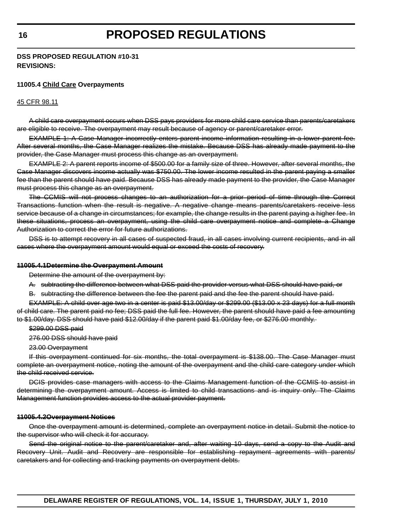# **DSS PROPOSED REGULATION #10-31 REVISIONS:**

# **11005.4 Child Care Overpayments**

#### 45 CFR 98.11

A child care overpayment occurs when DSS pays providers for more child care service than parents/caretakers are eligible to receive. The overpayment may result because of agency or parent/caretaker error.

EXAMPLE 1: A Case Manager incorrectly enters parent income information resulting in a lower parent fee. After several months, the Case Manager realizes the mistake. Because DSS has already made payment to the provider, the Case Manager must process this change as an overpayment.

EXAMPLE 2: A parent reports income of \$500.00 for a family size of three. However, after several months, the Case Manager discovers income actually was \$750.00. The lower income resulted in the parent paying a smaller fee than the parent should have paid. Because DSS has already made payment to the provider, the Case Manager must process this change as an overpayment.

The CCMIS will not process changes to an authorization for a prior period of time through the Correct Transactions function when the result is negative. A negative change means parents/caretakers receive less service because of a change in circumstances; for example, the change results in the parent paying a higher fee. In these situations, process an overpayment, using the child care overpayment notice and complete a Change Authorization to correct the error for future authorizations.

DSS is to attempt recovery in all cases of suspected fraud, in all cases involving current recipients, and in all cases where the overpayment amount would equal or exceed the costs of recovery.

#### **11005.4.1Determine the Overpayment Amount**

Determine the amount of the overpayment by:

A. subtracting the difference between what DSS paid the provider versus what DSS should have paid, or

B. subtracting the difference between the fee the parent paid and the fee the parent should have paid.

EXAMPLE: A child over age two in a center is paid \$13.00/day or \$299.00 (\$13.00 x 23 days) for a full month of child care. The parent paid no fee; DSS paid the full fee. However, the parent should have paid a fee amounting to \$1.00/day. DSS should have paid \$12.00/day if the parent paid \$1.00/day fee, or \$276.00 monthly.

\$299.00 DSS paid

276.00 DSS should have paid

23.00 Overpayment

If this overpayment continued for six months, the total overpayment is \$138.00. The Case Manager must complete an overpayment notice, noting the amount of the overpayment and the child care category under which the child received service.

DCIS provides case managers with access to the Claims Management function of the CCMIS to assist in determining the overpayment amount. Access is limited to child transactions and is inquiry only. The Claims Management function provides access to the actual provider payment.

# **11005.4.2Overpayment Notices**

Once the overpayment amount is determined, complete an overpayment notice in detail. Submit the notice to the supervisor who will check it for accuracy.

Send the original notice to the parent/caretaker and, after waiting 10 days, send a copy to the Audit and Recovery Unit. Audit and Recovery are responsible for establishing repayment agreements with parents/ caretakers and for collecting and tracking payments on overpayment debts.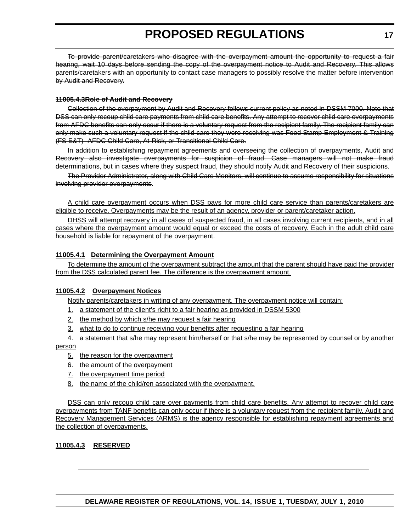To provide parent/caretakers who disagree with the overpayment amount the opportunity to request a fair hearing, wait 10 days before sending the copy of the overpayment notice to Audit and Recovery. This allows parents/caretakers with an opportunity to contact case managers to possibly resolve the matter before intervention by Audit and Recovery.

#### **11005.4.3Role of Audit and Recovery**

Collection of the overpayment by Audit and Recovery follows current policy as noted in DSSM 7000. Note that DSS can only recoup child care payments from child care benefits. Any attempt to recover child care overpayments from AFDC benefits can only occur if there is a voluntary request from the recipient family. The recipient family can only make such a voluntary request if the child care they were receiving was Food Stamp Employment & Training (FS E&T) -AFDC Child Care, At-Risk, or Transitional Child Care.

In addition to establishing repayment agreements and overseeing the collection of overpayments, Audit and Recovery also investigate overpayments for suspicion of fraud. Case managers will not make fraud determinations, but in cases where they suspect fraud, they should notify Audit and Recovery of their suspicions.

The Provider Administrator, along with Child Care Monitors, will continue to assume responsibility for situations involving provider overpayments.

A child care overpayment occurs when DSS pays for more child care service than parents/caretakers are eligible to receive. Overpayments may be the result of an agency, provider or parent/caretaker action.

DHSS will attempt recovery in all cases of suspected fraud, in all cases involving current recipients, and in all cases where the overpayment amount would equal or exceed the costs of recovery. Each in the adult child care household is liable for repayment of the overpayment.

### **11005.4.1 Determining the Overpayment Amount**

To determine the amount of the overpayment subtract the amount that the parent should have paid the provider from the DSS calculated parent fee. The difference is the overpayment amount.

# **11005.4.2 Overpayment Notices**

Notify parents/caretakers in writing of any overpayment. The overpayment notice will contain:

- 1. a statement of the client's right to a fair hearing as provided in DSSM 5300
- 2. the method by which s/he may request a fair hearing
- 3. what to do to continue receiving your benefits after requesting a fair hearing
- 4. a statement that s/he may represent him/herself or that s/he may be represented by counsel or by another person
	- 5. the reason for the overpayment
	- 6. the amount of the overpayment
	- 7. the overpayment time period
	- 8. the name of the child/ren associated with the overpayment.

DSS can only recoup child care over payments from child care benefits. Any attempt to recover child care overpayments from TANF benefits can only occur if there is a voluntary request from the recipient family. Audit and Recovery Management Services (ARMS) is the agency responsible for establishing repayment agreements and the collection of overpayments.

# **11005.4.3 RESERVED**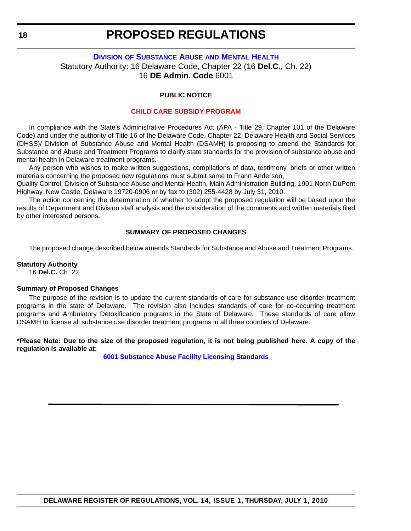# <span id="page-17-0"></span>**DIVISION [OF SUBSTANCE ABUSE](http://www.dhss.delaware.gov/dhss/dsamh/index.html) AND MENTAL HEALTH** Statutory Authority: 16 Delaware Code, Chapter 22 (16 **Del.C.**, Ch. 22) 16 **DE Admin. Code** 6001

### **PUBLIC NOTICE**

#### **[CHILD CARE SUBSIDY PROGRAM](#page-3-0)**

In compliance with the State's Administrative Procedures Act (APA - Title 29, Chapter 101 of the Delaware Code) and under the authority of Title 16 of the Delaware Code, Chapter 22, Delaware Health and Social Services (DHSS)/ Division of Substance Abuse and Mental Health (DSAMH) is proposing to amend the Standards for Substance and Abuse and Treatment Programs to clarify state standards for the provision of substance abuse and mental health in Delaware treatment programs.

Any person who wishes to make written suggestions, compilations of data, testimony, briefs or other written materials concerning the proposed new regulations must submit same to Frann Anderson,

Quality Control, Division of Substance Abuse and Mental Health, Main Administration Building, 1901 North DuPont Highway, New Castle, Delaware 19720-0906 or by fax to (302) 255-4428 by July 31, 2010.

The action concerning the determination of whether to adopt the proposed regulation will be based upon the results of Department and Division staff analysis and the consideration of the comments and written materials filed by other interested persons.

#### **SUMMARY OF PROPOSED CHANGES**

The proposed change described below amends Standards for Substance and Abuse and Treatment Programs.

#### **Statutory Authority**

16 **Del.C.** Ch. 22

#### **Summary of Proposed Changes**

The purpose of the revision is to update the current standards of care for substance use disorder treatment programs in the state of Delaware. The revision also includes standards of care for co-occurring treatment programs and Ambulatory Detoxification programs in the State of Delaware. These standards of care allow DSAMH to license all substance use disorder treatment programs in all three counties of Delaware.

**\*Please Note: Due to the size of the proposed regulation, it is not being published here. A copy of the regulation is available at:**

**[6001 Substance Abuse Facility Licensing Standards](http://regulations.delaware.gov/register/july2010/proposed/14 DE Reg 18 07-01-10.htm)**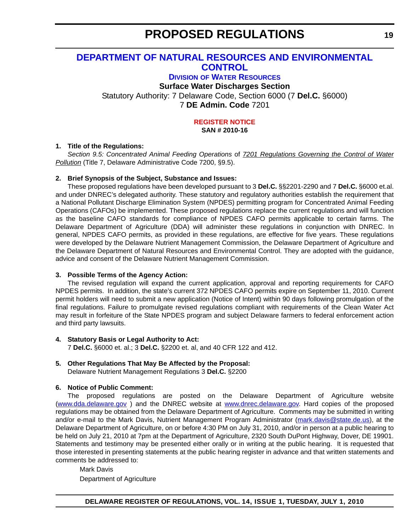# <span id="page-18-0"></span>**[DEPARTMENT OF NATURAL RESOURCES AND ENVIRONMENTAL](http://www.wr.dnrec.delaware.gov/Pages/Default.aspx)  CONTROL**

**DIVISION OF WATER RESOURCES**

# **Surface Water Discharges Section**

Statutory Authority: 7 Delaware Code, Section 6000 (7 **Del.C.** §6000) 7 **DE Admin. Code** 7201

### **[REGISTER NOTICE](#page-3-0) SAN # 2010-16**

# **1. Title of the Regulations:**

*Section 9.5: Concentrated Animal Feeding Operations* of *7201 Regulations Governing the Control of Water Pollution* (Title 7, Delaware Administrative Code 7200, §9.5).

# **2. Brief Synopsis of the Subject, Substance and Issues:**

These proposed regulations have been developed pursuant to 3 **Del.C.** §§2201-2290 and 7 **Del.C.** §6000 et.al. and under DNREC's delegated authority. These statutory and regulatory authorities establish the requirement that a National Pollutant Discharge Elimination System (NPDES) permitting program for Concentrated Animal Feeding Operations (CAFOs) be implemented. These proposed regulations replace the current regulations and will function as the baseline CAFO standards for compliance of NPDES CAFO permits applicable to certain farms. The Delaware Department of Agriculture (DDA) will administer these regulations in conjunction with DNREC. In general, NPDES CAFO permits, as provided in these regulations, are effective for five years. These regulations were developed by the Delaware Nutrient Management Commission, the Delaware Department of Agriculture and the Delaware Department of Natural Resources and Environmental Control. They are adopted with the guidance, advice and consent of the Delaware Nutrient Management Commission.

# **3. Possible Terms of the Agency Action:**

The revised regulation will expand the current application, approval and reporting requirements for CAFO NPDES permits. In addition, the state's current 372 NPDES CAFO permits expire on September 11, 2010. Current permit holders will need to submit a new application (Notice of Intent) within 90 days following promulgation of the final regulations. Failure to promulgate revised regulations compliant with requirements of the Clean Water Act may result in forfeiture of the State NPDES program and subject Delaware farmers to federal enforcement action and third party lawsuits.

# **4. Statutory Basis or Legal Authority to Act:**

7 **Del.C.** §6000 et. al.; 3 **Del.C.** §2200 et. al, and 40 CFR 122 and 412.

# **5. Other Regulations That May Be Affected by the Proposal:**

Delaware Nutrient Management Regulations 3 **Del.C.** §2200

# **6. Notice of Public Comment:**

The proposed regulations are posted on the Delaware Department of Agriculture website (www.dda.delaware.gov ) and the DNREC website at www.dnrec.delaware.gov. Hard copies of the proposed regulations may be obtained from the Delaware Department of Agriculture. Comments may be submitted in writing and/or e-mail to the Mark Davis, Nutrient Management Program Administrator (mark.davis@state.de.us), at the Delaware Department of Agriculture, on or before 4:30 PM on July 31, 2010, and/or in person at a public hearing to be held on July 21, 2010 at 7pm at the Department of Agriculture, 2320 South DuPont Highway, Dover, DE 19901. Statements and testimony may be presented either orally or in writing at the public hearing. It is requested that those interested in presenting statements at the public hearing register in advance and that written statements and comments be addressed to:

Mark Davis Department of Agriculture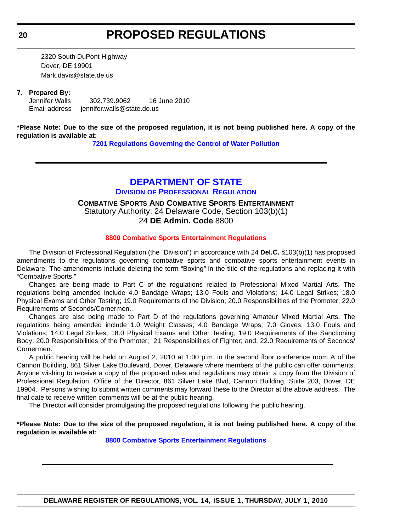<span id="page-19-0"></span>2320 South DuPont Highway Dover, DE 19901 Mark.davis@state.de.us

# **7. Prepared By:**

Jennifer Walls 302.739.9062 16 June 2010 Email address jennifer.walls@state.de.us

**\*Please Note: Due to the size of the proposed regulation, it is not being published here. A copy of the regulation is available at:**

**[7201 Regulations Governing the Control of Water Pollution](http://regulations.delaware.gov/register/july2010/proposed/14 DE Reg 19 07-01-10.htm)**

# **[DEPARTMENT OF STATE](http://dpr.delaware.gov/default.shtml)**

**DIVISION OF PROFESSIONAL REGULATION**

**COMBATIVE SPORTS AND COMBATIVE SPORTS ENTERTAINMENT** Statutory Authority: 24 Delaware Code, Section 103(b)(1) 24 **DE Admin. Code** 8800

# **[8800 Combative Sports Entertainment Regulations](#page-3-0)**

The Division of Professional Regulation (the "Division") in accordance with 24 **Del.C.** §103(b)(1) has proposed amendments to the regulations governing combative sports and combative sports entertainment events in Delaware. The amendments include deleting the term "Boxing*"* in the title of the regulations and replacing it with "Combative Sports."

Changes are being made to Part C of the regulations related to Professional Mixed Martial Arts. The regulations being amended include 4.0 Bandage Wraps; 13.0 Fouls and Violations; 14.0 Legal Strikes; 18.0 Physical Exams and Other Testing; 19.0 Requirements of the Division; 20.0 Responsibilities of the Promoter; 22.0 Requirements of Seconds/Cornermen.

Changes are also being made to Part D of the regulations governing Amateur Mixed Martial Arts. The regulations being amended include 1.0 Weight Classes; 4.0 Bandage Wraps; 7.0 Gloves; 13.0 Fouls and Violations; 14.0 Legal Strikes; 18.0 Physical Exams and Other Testing; 19.0 Requirements of the Sanctioning Body; 20.0 Responsibilities of the Promoter; 21 Responsibilities of Fighter; and, 22.0 Requirements of Seconds/ Cornermen.

A public hearing will be held on August 2, 2010 at 1:00 p.m. in the second floor conference room A of the Cannon Building, 861 Silver Lake Boulevard, Dover, Delaware where members of the public can offer comments. Anyone wishing to receive a copy of the proposed rules and regulations may obtain a copy from the Division of Professional Regulation, Office of the Director, 861 Silver Lake Blvd, Cannon Building, Suite 203, Dover, DE 19904. Persons wishing to submit written comments may forward these to the Director at the above address. The final date to receive written comments will be at the public hearing.

The Director will consider promulgating the proposed regulations following the public hearing.

**\*Please Note: Due to the size of the proposed regulation, it is not being published here. A copy of the regulation is available at:**

**[8800 Combative Sports Entertainment Regulations](http://regulations.delaware.gov/register/july2010/proposed/14 DE Reg 21 07-01-10.htm)**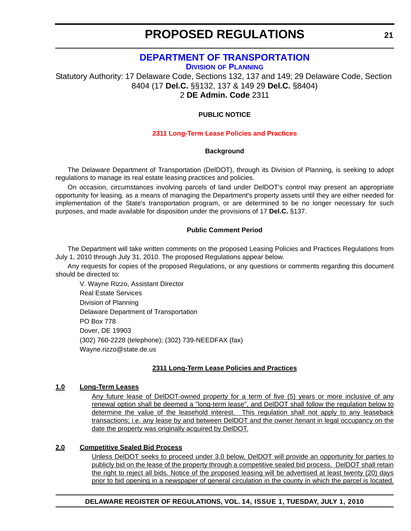# **[DEPARTMENT OF TRANSPORTATION](http://www.deldot.gov/home/divisions/)**

**DIVISION OF PLANNING**

<span id="page-20-0"></span>Statutory Authority: 17 Delaware Code, Sections 132, 137 and 149; 29 Delaware Code, Section 8404 (17 **Del.C.** §§132, 137 & 149 29 **Del.C.** §8404) 2 **DE Admin. Code** 2311

# **PUBLIC NOTICE**

# **[2311 Long-Term Lease Policies and Practices](#page-3-0)**

# **Background**

The Delaware Department of Transportation (DelDOT), through its Division of Planning, is seeking to adopt regulations to manage its real estate leasing practices and policies.

On occasion, circumstances involving parcels of land under DelDOT's control may present an appropriate opportunity for leasing, as a means of managing the Department's property assets until they are either needed for implementation of the State's transportation program, or are determined to be no longer necessary for such purposes, and made available for disposition under the provisions of 17 **Del.C.** §137.

# **Public Comment Period**

The Department will take written comments on the proposed Leasing Policies and Practices Regulations from July 1, 2010 through July 31, 2010. The proposed Regulations appear below.

Any requests for copies of the proposed Regulations, or any questions or comments regarding this document should be directed to:

V. Wayne Rizzo, Assistant Director Real Estate Services Division of Planning Delaware Department of Transportation PO Box 778 Dover, DE 19903 (302) 760-2228 (telephone); (302) 739-NEEDFAX (fax) Wayne.rizzo@state.de.us

# **2311 Long-Term Lease Policies and Practices**

# **1.0 Long-Term Leases**

Any future lease of DelDOT-owned property for a term of five (5) years or more inclusive of any renewal option shall be deemed a "long-term lease", and DelDOT shall follow the regulation below to determine the value of the leasehold interest. This regulation shall not apply to any leaseback transactions; i.e. any lease by and between DelDOT and the owner /tenant in legal occupancy on the date the property was originally acquired by DelDOT.

### **2.0 Competitive Sealed Bid Process**

Unless DelDOT seeks to proceed under 3.0 below, DelDOT will provide an opportunity for parties to publicly bid on the lease of the property through a competitive sealed bid process. DelDOT shall retain the right to reject all bids. Notice of the proposed leasing will be advertised at least twenty (20) days prior to bid opening in a newspaper of general circulation in the county in which the parcel is located.

# **DELAWARE REGISTER OF REGULATIONS, VOL. 14, ISSUE 1, TUESDAY, JULY 1, 2010**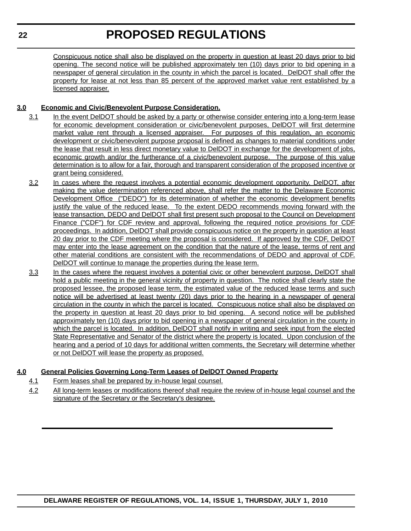Conspicuous notice shall also be displayed on the property in question at least 20 days prior to bid opening. The second notice will be published approximately ten (10) days prior to bid opening in a newspaper of general circulation in the county in which the parcel is located. DelDOT shall offer the property for lease at not less than 85 percent of the approved market value rent established by a licensed appraiser.

# **3.0 Economic and Civic/Benevolent Purpose Consideration.**

- 3.1 In the event DelDOT should be asked by a party or otherwise consider entering into a long-term lease for economic development consideration or civic/benevolent purposes, DelDOT will first determine market value rent through a licensed appraiser. For purposes of this regulation, an economic development or civic/benevolent purpose proposal is defined as changes to material conditions under the lease that result in less direct monetary value to DelDOT in exchange for the development of jobs, economic growth and/or the furtherance of a civic/benevolent purpose. The purpose of this value determination is to allow for a fair, thorough and transparent consideration of the proposed incentive or grant being considered.
- 3.2 In cases where the request involves a potential economic development opportunity, DelDOT, after making the value determination referenced above, shall refer the matter to the Delaware Economic Development Office ("DEDO") for its determination of whether the economic development benefits justify the value of the reduced lease. To the extent DEDO recommends moving forward with the lease transaction, DEDO and DelDOT shall first present such proposal to the Council on Development Finance ("CDF") for CDF review and approval, following the required notice provisions for CDF proceedings. In addition, DelDOT shall provide conspicuous notice on the property in question at least 20 day prior to the CDF meeting where the proposal is considered. If approved by the CDF, DelDOT may enter into the lease agreement on the condition that the nature of the lease, terms of rent and other material conditions are consistent with the recommendations of DEDO and approval of CDF. DelDOT will continue to manage the properties during the lease term.
- 3.3 In the cases where the request involves a potential civic or other benevolent purpose, DelDOT shall hold a public meeting in the general vicinity of property in question. The notice shall clearly state the proposed lessee, the proposed lease term, the estimated value of the reduced lease terms and such notice will be advertised at least twenty (20) days prior to the hearing in a newspaper of general circulation in the county in which the parcel is located. Conspicuous notice shall also be displayed on the property in question at least 20 days prior to bid opening. A second notice will be published approximately ten (10) days prior to bid opening in a newspaper of general circulation in the county in which the parcel is located. In addition, DelDOT shall notify in writing and seek input from the elected State Representative and Senator of the district where the property is located. Upon conclusion of the hearing and a period of 10 days for additional written comments, the Secretary will determine whether or not DelDOT will lease the property as proposed.

# **4.0 General Policies Governing Long-Term Leases of DelDOT Owned Property**

- 4.1 Form leases shall be prepared by in-house legal counsel.
- 4.2 All long-term leases or modifications thereof shall require the review of in-house legal counsel and the signature of the Secretary or the Secretary's designee.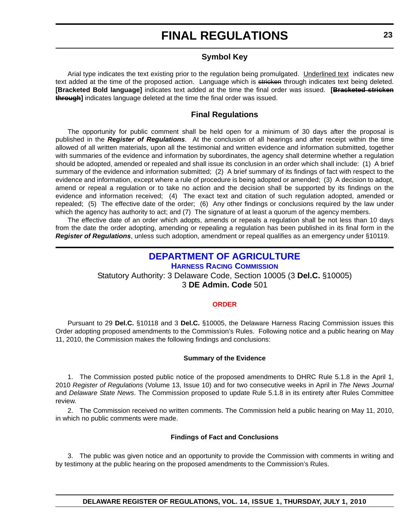# **Symbol Key**

<span id="page-22-0"></span>Arial type indicates the text existing prior to the regulation being promulgated. Underlined text indicates new text added at the time of the proposed action. Language which is stricken through indicates text being deleted. **[Bracketed Bold language]** indicates text added at the time the final order was issued. **[Bracketed stricken through]** indicates language deleted at the time the final order was issued.

# **Final Regulations**

The opportunity for public comment shall be held open for a minimum of 30 days after the proposal is published in the *Register of Regulations*. At the conclusion of all hearings and after receipt within the time allowed of all written materials, upon all the testimonial and written evidence and information submitted, together with summaries of the evidence and information by subordinates, the agency shall determine whether a regulation should be adopted, amended or repealed and shall issue its conclusion in an order which shall include: (1) A brief summary of the evidence and information submitted; (2) A brief summary of its findings of fact with respect to the evidence and information, except where a rule of procedure is being adopted or amended; (3) A decision to adopt, amend or repeal a regulation or to take no action and the decision shall be supported by its findings on the evidence and information received; (4) The exact text and citation of such regulation adopted, amended or repealed; (5) The effective date of the order; (6) Any other findings or conclusions required by the law under which the agency has authority to act; and (7) The signature of at least a quorum of the agency members.

The effective date of an order which adopts, amends or repeals a regulation shall be not less than 10 days from the date the order adopting, amending or repealing a regulation has been published in its final form in the *Register of Regulations*, unless such adoption, amendment or repeal qualifies as an emergency under §10119.

# **[DEPARTMENT OF AGRICULTURE](http://dda.delaware.gov/harness/index.shtml) HARNESS RACING COMMISSION** Statutory Authority: 3 Delaware Code, Section 10005 (3 **Del.C.** §10005) 3 **DE Admin. Code** 501

### **[ORDER](#page-3-0)**

Pursuant to 29 **Del.C.** §10118 and 3 **Del.C.** §10005, the Delaware Harness Racing Commission issues this Order adopting proposed amendments to the Commission's Rules. Following notice and a public hearing on May 11, 2010, the Commission makes the following findings and conclusions:

### **Summary of the Evidence**

1. The Commission posted public notice of the proposed amendments to DHRC Rule 5.1.8 in the April 1, 2010 *Register of Regulations* (Volume 13, Issue 10) and for two consecutive weeks in April in *The News Journal* and *Delaware State News*. The Commission proposed to update Rule 5.1.8 in its entirety after Rules Committee review.

2. The Commission received no written comments. The Commission held a public hearing on May 11, 2010, in which no public comments were made.

### **Findings of Fact and Conclusions**

3. The public was given notice and an opportunity to provide the Commission with comments in writing and by testimony at the public hearing on the proposed amendments to the Commission's Rules.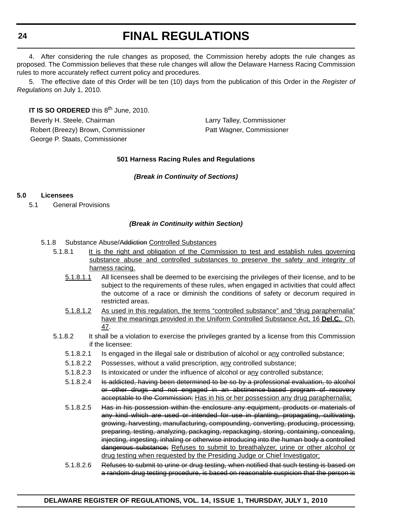4. After considering the rule changes as proposed, the Commission hereby adopts the rule changes as proposed. The Commission believes that these rule changes will allow the Delaware Harness Racing Commission rules to more accurately reflect current policy and procedures.

5. The effective date of this Order will be ten (10) days from the publication of this Order in the *Register of Regulations* on July 1, 2010.

**IT IS SO ORDERED** this 8<sup>th</sup> June, 2010. Beverly H. Steele, Chairman Larry Talley, Commissioner Robert (Breezy) Brown, Commissioner **Patt Wagner, Commissioner** Patt Wagner, Commissioner George P. Staats, Commissioner

# **501 Harness Racing Rules and Regulations**

# *(Break in Continuity of Sections)*

# **5.0 Licensees**

5.1 General Provisions

# *(Break in Continuity within Section)*

- 5.1.8 Substance Abuse/Addiction Controlled Substances
	- 5.1.8.1 It is the right and obligation of the Commission to test and establish rules governing substance abuse and controlled substances to preserve the safety and integrity of harness racing.
		- 5.1.8.1.1 All licensees shall be deemed to be exercising the privileges of their license, and to be subject to the requirements of these rules, when engaged in activities that could affect the outcome of a race or diminish the conditions of safety or decorum required in restricted areas.
		- 5.1.8.1.2 As used in this regulation, the terms "controlled substance" and "drug paraphernalia" have the meanings provided in the Uniform Controlled Substance Act, 16 **Del.C.**, Ch. 47.
	- 5.1.8.2 It shall be a violation to exercise the privileges granted by a license from this Commission if the licensee:
		- 5.1.8.2.1 Is engaged in the illegal sale or distribution of alcohol or any controlled substance;
		- 5.1.8.2.2 Possesses, without a valid prescription, any controlled substance;
		- 5.1.8.2.3 Is intoxicated or under the influence of alcohol or any controlled substance;
		- 5.1.8.2.4 Is addicted, having been determined to be so by a professional evaluation, to alcohol or other drugs and not engaged in an abstinence-based program of recovery acceptable to the Commission; Has in his or her possession any drug paraphernalia;
		- 5.1.8.2.5 Has in his possession within the enclosure any equipment, products or materials of any kind which are used or intended for use in planting, propagating, cultivating, growing, harvesting, manufacturing, compounding, converting, producing, processing, preparing, testing, analyzing, packaging, repackaging, storing, containing, concealing, injecting, ingesting, inhaling or otherwise introducing into the human body a controlled dangerous substance; Refuses to submit to breathalyzer, urine or other alcohol or drug testing when requested by the Presiding Judge or Chief Investigator;
		- 5.1.8.2.6 Refuses to submit to urine or drug testing, when notified that such testing is based on a random drug testing procedure, is based on reasonable suspicion that the person is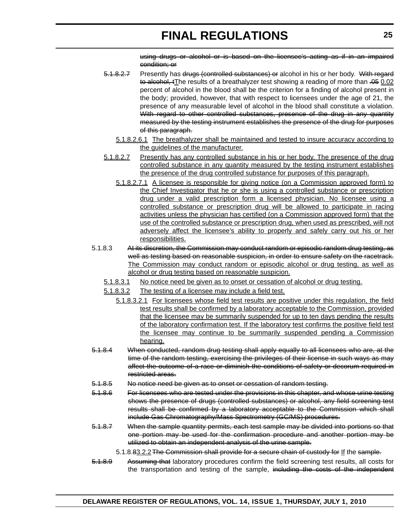using drugs or alcohol or is based on the licensee's acting as if in an impaired condition; or

- 5.1.8.2.7 Presently has drugs (controlled substances) or alcohol in his or her body. With regard to alcohol, tThe results of a breathalyzer test showing a reading of more than .05 0.02 percent of alcohol in the blood shall be the criterion for a finding of alcohol present in the body; provided, however, that with respect to licensees under the age of 21, the presence of any measurable level of alcohol in the blood shall constitute a violation. With regard to other controlled substances, presence of the drug in any quantity measured by the testing instrument establishes the presence of the drug for purposes of this paragraph.
	- 5.1.8.2.6.1 The breathalyzer shall be maintained and tested to insure accuracy according to the guidelines of the manufacturer.
- 5.1.8.2.7 Presently has any controlled substance in his or her body. The presence of the drug controlled substance in any quantity measured by the testing instrument establishes the presence of the drug controlled substance for purposes of this paragraph.
	- 5.1.8.2.7.1 A licensee is responsible for giving notice (on a Commission approved form) to the Chief Investigator that he or she is using a controlled substance or prescription drug under a valid prescription form a licensed physician. No licensee using a controlled substance or prescription drug will be allowed to participate in racing activities unless the physician has certified (on a Commission approved form) that the use of the controlled substance or prescription drug, when used as prescribed, will not adversely affect the licensee's ability to properly and safely carry out his or her responsibilities.
- 5.1.8.3 At its discretion, the Commission may conduct random or episodic random drug testing, as well as testing based on reasonable suspicion, in order to ensure safety on the racetrack. The Commission may conduct random or episodic alcohol or drug testing, as well as alcohol or drug testing based on reasonable suspicion.
	- 5.1.8.3.1 No notice need be given as to onset or cessation of alcohol or drug testing.
	- 5.1.8.3.2 The testing of a licensee may include a field test.
		- 5.1.8.3.2.1 For licensees whose field test results are positive under this regulation, the field test results shall be confirmed by a laboratory acceptable to the Commission, provided that the licensee may be summarily suspended for up to ten days pending the results of the laboratory confirmation test. If the laboratory test confirms the positive field test the licensee may continue to be summarily suspended pending a Commission hearing.
- 5.1.8.4 When conducted, random drug testing shall apply equally to all licensees who are, at the time of the random testing, exercising the privileges of their license in such ways as may affect the outcome of a race or diminish the conditions of safety or decorum required in restricted areas.
- 5.1.8.5 No notice need be given as to onset or cessation of random testing.
- 5.1.8.6 For licensees who are tested under the provisions in this chapter, and whose urine testing shows the presence of drugs (controlled substances) or alcohol, any field screening test results shall be confirmed by a laboratory acceptable to the Commission which shall include Gas Chromatography/Mass Spectrometry (GC/MS) procedures.
- 5.1.8.7 When the sample quantity permits, each test sample may be divided into portions so that one portion may be used for the confirmation procedure and another portion may be utilized to obtain an independent analysis of the urine sample.

5.1.8.83.2.2 The Commission shall provide for a secure chain of custody for If the sample.

5.1.8.9 Assuming that laboratory procedures confirm the field screening test results, all costs for the transportation and testing of the sample, including the costs of the independent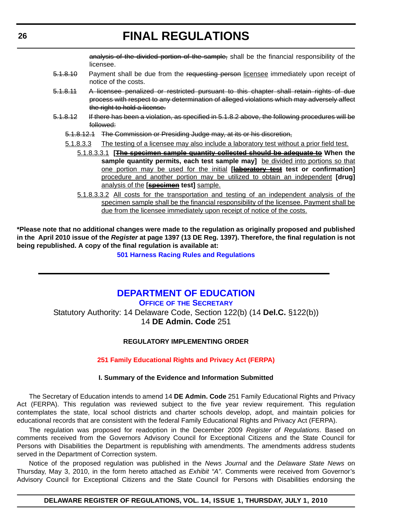analysis of the divided portion of the sample, shall be the financial responsibility of the licensee.

- <span id="page-25-0"></span>5.1.8.10 Payment shall be due from the requesting person licensee immediately upon receipt of notice of the costs.
- 5.1.8.11 A licensee penalized or restricted pursuant to this chapter shall retain rights of due process with respect to any determination of alleged violations which may adversely affect the right to hold a license.
- 5.1.8.12 If there has been a violation, as specified in 5.1.8.2 above, the following procedures will be followed:
	- 5.1.8.12.1 The Commission or Presiding Judge may, at its or his discretion,
	- 5.1.8.3.3 The testing of a licensee may also include a laboratory test without a prior field test.
		- 5.1.8.3.3.1 **[The specimen sample quantity collected should be adequate to When the** sample quantity permits, each test sample may] be divided into portions so that one portion may be used for the initial **[laboratory test test or confirmation]** procedure and another portion may be utilized to obtain an independent **[drug]** analysis of the **[specimen test]** sample.
		- 5.1.8.3.3.2 All costs for the transportation and testing of an independent analysis of the specimen sample shall be the financial responsibility of the licensee. Payment shall be due from the licensee immediately upon receipt of notice of the costs.

**\*Please note that no additional changes were made to the regulation as originally proposed and published in the April 2010 issue of the** *Register* **at page 1397 (13 DE Reg. 1397). Therefore, the final regulation is not being republished. A copy of the final regulation is available at:**

**[501 Harness Racing Rules and Regulations](http://regulations.delaware.gov/register/july2010/final/14 DE Reg 23 07-01-10.htm)**

# **[DEPARTMENT OF EDUCATION](http://www.doe.k12.de.us/)**

**OFFICE OF THE SECRETARY**

Statutory Authority: 14 Delaware Code, Section 122(b) (14 **Del.C.** §122(b)) 14 **DE Admin. Code** 251

# **REGULATORY IMPLEMENTING ORDER**

### **[251 Family Educational Rights and Privacy Act \(FERPA\)](#page-3-0)**

### **I. Summary of the Evidence and Information Submitted**

The Secretary of Education intends to amend 14 **DE Admin. Code** 251 Family Educational Rights and Privacy Act (FERPA). This regulation was reviewed subject to the five year review requirement. This regulation contemplates the state, local school districts and charter schools develop, adopt, and maintain policies for educational records that are consistent with the federal Family Educational Rights and Privacy Act (FERPA).

The regulation was proposed for readoption in the December 2009 *Register of Regulations*. Based on comments received from the Governors Advisory Council for Exceptional Citizens and the State Council for Persons with Disabilities the Department is republishing with amendments. The amendments address students served in the Department of Correction system.

Notice of the proposed regulation was published in the *News Journal* and the *Delaware State News* on Thursday, May 3, 2010, in the form hereto attached as *Exhibit "A"*. Comments were received from Governor's Advisory Council for Exceptional Citizens and the State Council for Persons with Disabilities endorsing the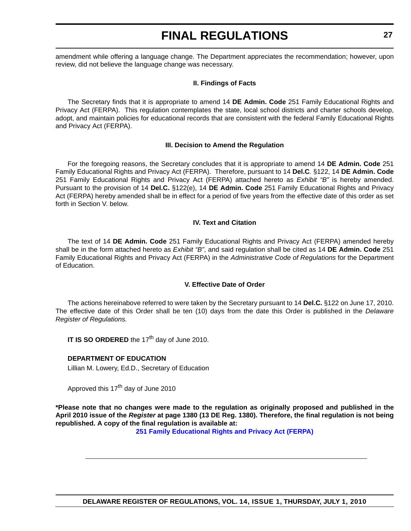amendment while offering a language change. The Department appreciates the recommendation; however, upon review, did not believe the language change was necessary.

# **II. Findings of Facts**

The Secretary finds that it is appropriate to amend 14 **DE Admin. Code** 251 Family Educational Rights and Privacy Act (FERPA). This regulation contemplates the state, local school districts and charter schools develop, adopt, and maintain policies for educational records that are consistent with the federal Family Educational Rights and Privacy Act (FERPA).

# **III. Decision to Amend the Regulation**

For the foregoing reasons, the Secretary concludes that it is appropriate to amend 14 **DE Admin. Code** 251 Family Educational Rights and Privacy Act (FERPA). Therefore, pursuant to 14 **Del.C***.* §122, 14 **DE Admin. Code** 251 Family Educational Rights and Privacy Act (FERPA) attached hereto as *Exhibit "B"* is hereby amended. Pursuant to the provision of 14 **Del.C.** §122(e), 14 **DE Admin. Code** 251 Family Educational Rights and Privacy Act (FERPA) hereby amended shall be in effect for a period of five years from the effective date of this order as set forth in Section V. below.

# **IV. Text and Citation**

The text of 14 **DE Admin. Code** 251 Family Educational Rights and Privacy Act (FERPA) amended hereby shall be in the form attached hereto as *Exhibit "B"*, and said regulation shall be cited as 14 **DE Admin. Code** 251 Family Educational Rights and Privacy Act (FERPA) in the *Administrative Code of Regulations* for the Department of Education.

# **V. Effective Date of Order**

The actions hereinabove referred to were taken by the Secretary pursuant to 14 **Del.C.** §122 on June 17, 2010. The effective date of this Order shall be ten (10) days from the date this Order is published in the *Delaware Register of Regulations.*

**IT IS SO ORDERED** the 17<sup>th</sup> day of June 2010.

# **DEPARTMENT OF EDUCATION**

Lillian M. Lowery, Ed.D., Secretary of Education

Approved this 17<sup>th</sup> day of June 2010

**\*Please note that no changes were made to the regulation as originally proposed and published in the April 2010 issue of the** *Register* **at page 1380 (13 DE Reg. 1380). Therefore, the final regulation is not being republished. A copy of the final regulation is available at:**

**[251 Family Educational Rights and Privacy Act \(FERPA\)](http://regulations.delaware.gov/register/july2010/final/14 DE Reg 26 07-01-10.htm)**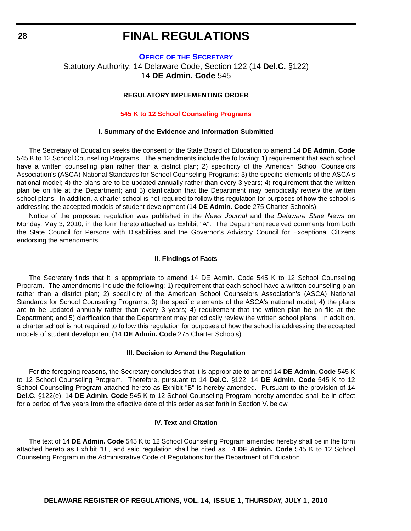# <span id="page-27-0"></span>**OFFICE OF [THE SECRETARY](http://www.doe.k12.de.us/)** Statutory Authority: 14 Delaware Code, Section 122 (14 **Del.C.** §122) 14 **DE Admin. Code** 545

# **REGULATORY IMPLEMENTING ORDER**

#### **[545 K to 12 School Counseling Programs](#page-3-0)**

#### **I. Summary of the Evidence and Information Submitted**

The Secretary of Education seeks the consent of the State Board of Education to amend 14 **DE Admin. Code** 545 K to 12 School Counseling Programs. The amendments include the following: 1) requirement that each school have a written counseling plan rather than a district plan; 2) specificity of the American School Counselors Association's (ASCA) National Standards for School Counseling Programs; 3) the specific elements of the ASCA's national model; 4) the plans are to be updated annually rather than every 3 years; 4) requirement that the written plan be on file at the Department; and 5) clarification that the Department may periodically review the written school plans. In addition, a charter school is not required to follow this regulation for purposes of how the school is addressing the accepted models of student development (14 **DE Admin. Code** 275 Charter Schools).

Notice of the proposed regulation was published in the *News Journal* and the *Delaware State News* on Monday, May 3, 2010, in the form hereto attached as Exhibit "A". The Department received comments from both the State Council for Persons with Disabilities and the Governor's Advisory Council for Exceptional Citizens endorsing the amendments.

#### **II. Findings of Facts**

The Secretary finds that it is appropriate to amend 14 DE Admin. Code 545 K to 12 School Counseling Program. The amendments include the following: 1) requirement that each school have a written counseling plan rather than a district plan; 2) specificity of the American School Counselors Association's (ASCA) National Standards for School Counseling Programs; 3) the specific elements of the ASCA's national model; 4) the plans are to be updated annually rather than every 3 years; 4) requirement that the written plan be on file at the Department; and 5) clarification that the Department may periodically review the written school plans. In addition, a charter school is not required to follow this regulation for purposes of how the school is addressing the accepted models of student development (14 **DE Admin. Code** 275 Charter Schools).

#### **III. Decision to Amend the Regulation**

For the foregoing reasons, the Secretary concludes that it is appropriate to amend 14 **DE Admin. Code** 545 K to 12 School Counseling Program. Therefore, pursuant to 14 **Del.C.** §122, 14 **DE Admin. Code** 545 K to 12 School Counseling Program attached hereto as Exhibit "B" is hereby amended. Pursuant to the provision of 14 **Del.C.** §122(e), 14 **DE Admin. Code** 545 K to 12 School Counseling Program hereby amended shall be in effect for a period of five years from the effective date of this order as set forth in Section V. below.

### **IV. Text and Citation**

The text of 14 **DE Admin. Code** 545 K to 12 School Counseling Program amended hereby shall be in the form attached hereto as Exhibit "B", and said regulation shall be cited as 14 **DE Admin. Code** 545 K to 12 School Counseling Program in the Administrative Code of Regulations for the Department of Education.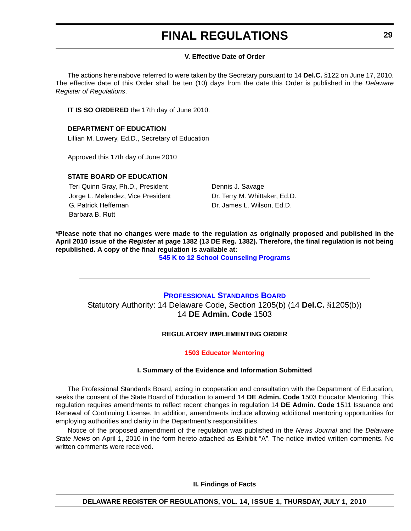# **V. Effective Date of Order**

<span id="page-28-0"></span>The actions hereinabove referred to were taken by the Secretary pursuant to 14 **Del.C.** §122 on June 17, 2010. The effective date of this Order shall be ten (10) days from the date this Order is published in the *Delaware Register of Regulations*.

**IT IS SO ORDERED** the 17th day of June 2010.

# **DEPARTMENT OF EDUCATION**

Lillian M. Lowery, Ed.D., Secretary of Education

Approved this 17th day of June 2010

# **STATE BOARD OF EDUCATION**

Teri Quinn Gray, Ph.D., President Dennis J. Savage Jorge L. Melendez, Vice President Dr. Terry M. Whittaker, Ed.D. G. Patrick Heffernan **Dr. James L. Wilson, Ed.D.** Barbara B. Rutt

**\*Please note that no changes were made to the regulation as originally proposed and published in the April 2010 issue of the** *Register* **at page 1382 (13 DE Reg. 1382). Therefore, the final regulation is not being republished. A copy of the final regulation is available at:**

**[545 K to 12 School Counseling Programs](http://regulations.delaware.gov/register/july2010/final/14 DE Reg 28 07-01-10.htm)**

# **[PROFESSIONAL STANDARDS BOARD](http://www.doe.k12.de.us/)**

Statutory Authority: 14 Delaware Code, Section 1205(b) (14 **Del.C.** §1205(b)) 14 **DE Admin. Code** 1503

# **REGULATORY IMPLEMENTING ORDER**

# **[1503 Educator Mentoring](#page-3-0)**

# **I. Summary of the Evidence and Information Submitted**

The Professional Standards Board, acting in cooperation and consultation with the Department of Education, seeks the consent of the State Board of Education to amend 14 **DE Admin. Code** 1503 Educator Mentoring. This regulation requires amendments to reflect recent changes in regulation 14 **DE Admin. Code** 1511 Issuance and Renewal of Continuing License. In addition, amendments include allowing additional mentoring opportunities for employing authorities and clarity in the Department's responsibilities.

Notice of the proposed amendment of the regulation was published in the *News Journal* and the *Delaware State News* on April 1, 2010 in the form hereto attached as Exhibit "A". The notice invited written comments. No written comments were received.

**II. Findings of Facts**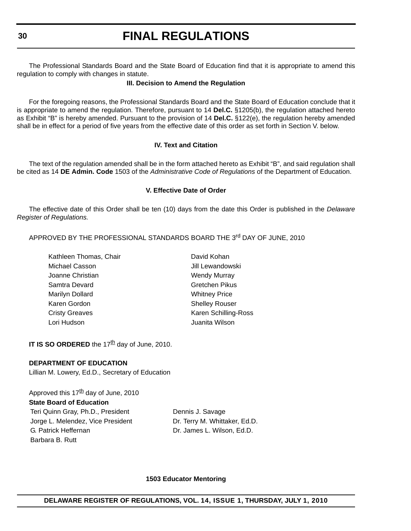The Professional Standards Board and the State Board of Education find that it is appropriate to amend this regulation to comply with changes in statute.

### **III. Decision to Amend the Regulation**

For the foregoing reasons, the Professional Standards Board and the State Board of Education conclude that it is appropriate to amend the regulation. Therefore, pursuant to 14 **Del.C.** §1205(b), the regulation attached hereto as Exhibit "B" is hereby amended. Pursuant to the provision of 14 **Del.C.** §122(e), the regulation hereby amended shall be in effect for a period of five years from the effective date of this order as set forth in Section V. below.

# **IV. Text and Citation**

The text of the regulation amended shall be in the form attached hereto as Exhibit "B", and said regulation shall be cited as 14 **DE Admin. Code** 1503 of the *Administrative Code of Regulations* of the Department of Education.

### **V. Effective Date of Order**

The effective date of this Order shall be ten (10) days from the date this Order is published in the *Delaware Register of Regulations.*

APPROVED BY THE PROFESSIONAL STANDARDS BOARD THE 3<sup>rd</sup> DAY OF JUNE. 2010

Kathleen Thomas, Chair **David Kohan** Michael Casson **Michael Casson Jill Lewandowski** Joanne Christian Wendy Murray Samtra Devard Gretchen Pikus Marilyn Dollard Whitney Price Karen Gordon Shelley Rouser Cristy Greaves **Karen Schilling-Ross** Lori Hudson Juanita Wilson

**IT IS SO ORDERED** the 17<sup>th</sup> day of June, 2010.

### **DEPARTMENT OF EDUCATION**

Lillian M. Lowery, Ed.D., Secretary of Education

Approved this  $17<sup>th</sup>$  day of June, 2010 **State Board of Education** Teri Quinn Gray, Ph.D., President Dennis J. Savage Jorge L. Melendez, Vice President Dr. Terry M. Whittaker, Ed.D. G. Patrick Heffernan Dr. James L. Wilson, Ed.D. Barbara B. Rutt

### **1503 Educator Mentoring**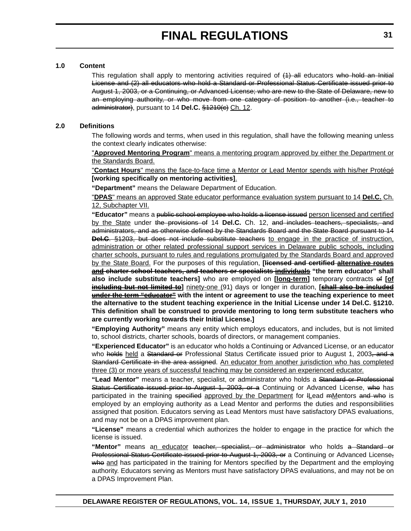# **1.0 Content**

This regulation shall apply to mentoring activities required of  $(1)$  all educators who hold an Initial License and (2) all educators who hold a Standard or Professional Status Certificate issued prior to August 1, 2003, or a Continuing, or Advanced License; who are new to the State of Delaware, new to an employing authority, or who move from one category of position to another (i.e., teacher to administrator), pursuant to 14 Del.C. §1210(c) Ch. 12.

# **2.0 Definitions**

The following words and terms, when used in this regulation, shall have the following meaning unless the context clearly indicates otherwise:

"**Approved Mentoring Program**" means a mentoring program approved by either the Department or the Standards Board.

"**Contact Hours**" means the face-to-face time a Mentor or Lead Mentor spends with his/her Protégé **[working specifically on mentoring activities]**.

**"Department"** means the Delaware Department of Education.

"**DPAS**" means an approved State educator performance evaluation system pursuant to 14 **Del.C.** Ch. 12, Subchapter VII.

**"Educator"** means a public school employee who holds a license issued person licensed and certified by the State under the provisions of 14 **Del.C.** Ch. 12, and includes teachers, specialists, and administrators, and as otherwise defined by the Standards Board and the State Board pursuant to 14 **Del.C**. §1203, but does not include substitute teachers to engage in the practice of instruction, administration or other related professional support services in Delaware public schools, including charter schools, pursuant to rules and regulations promulgated by the Standards Board and approved by the State Board. For the purposes of this regulation, **[licensed and certified alternative routes and charter school teachers, and teachers or specialists individuals "the term educator" shall also include substitute teachers]** who are employed on **[long-term]** temporary contracts of **[of including but not limited to**] ninety-one (91) days or longer in duration, [**shall also be included under the term "educator" with the intent or agreement to use the teaching experience to meet the alternative to the student teaching experience in the Initial License under 14 Del.C. §1210. This definition shall be construed to provide mentoring to long term substitute teachers who are currently working towards their Initial License.]**

**"Employing Authority"** means any entity which employs educators, and includes, but is not limited to, school districts, charter schools, boards of directors, or management companies.

**"Experienced Educator"** is an educator who holds a Continuing or Advanced License, or an educator who holds held a Standard or Professional Status Certificate issued prior to August 1, 2003, and a Standard Certificate in the area assigned. An educator from another jurisdiction who has completed three (3) or more years of successful teaching may be considered an experienced educator.

**"Lead Mentor"** means a teacher, specialist, or administrator who holds a Standard or Professional Status Certificate issued prior to August 1, 2003, or a Continuing or Advanced License, who has participated in the training specified approved by the Department for ILead mMentors and who is employed by an employing authority as a Lead Mentor and performs the duties and responsibilities assigned that position. Educators serving as Lead Mentors must have satisfactory DPAS evaluations, and may not be on a DPAS improvement plan.

**"License"** means a credential which authorizes the holder to engage in the practice for which the license is issued.

**"Mentor"** means an educator teacher, specialist, or administrator who holds a Standard or Professional Status Certificate issued prior to August 1, 2003, or a Continuing or Advanced License, who and has participated in the training for Mentors specified by the Department and the employing authority. Educators serving as Mentors must have satisfactory DPAS evaluations, and may not be on a DPAS Improvement Plan.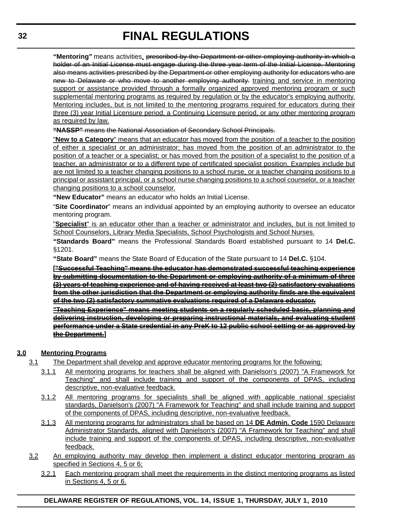**"Mentoring"** means activities, prescribed by the Department or other employing authority in which a holder of an Initial License must engage during the three year term of the Initial License. Mentoring also means activities prescribed by the Department or other employing authority for educators who are new to Delaware or who move to another employing authority. training and service in mentoring support or assistance provided through a formally organized approved mentoring program or such supplemental mentoring programs as required by regulation or by the educator's employing authority. Mentoring includes, but is not limited to the mentoring programs required for educators during their three (3) year Initial Licensure period, a Continuing Licensure period, or any other mentoring program as required by law.

**"NASSP"** means the National Association of Secondary School Principals.

"**New to a Category**" means that an educator has moved from the position of a teacher to the position of either a specialist or an administrator; has moved from the position of an administrator to the position of a teacher or a specialist; or has moved from the position of a specialist to the position of a teacher, an administrator or to a different type of certificated specialist position. Examples include but are not limited to a teacher changing positions to a school nurse, or a teacher changing positions to a principal or assistant principal, or a school nurse changing positions to a school counselor, or a teacher changing positions to a school counselor.

**"New Educator"** means an educator who holds an Initial License.

"**Site Coordinator**" means an individual appointed by an employing authority to oversee an educator mentoring program.

"**Specialist**" is an educator other than a teacher or administrator and includes, but is not limited to School Counselors, Library Media Specialists, School Psychologists and School Nurses.

**"Standards Board"** means the Professional Standards Board established pursuant to 14 **Del.C.** §1201.

**"State Board"** means the State Board of Education of the State pursuant to 14 **Del.C.** §104.

**["Successful Teaching" means the educator has demonstrated successful teaching experience by submitting documentation to the Department or employing authority of a minimum of three (3) years of teaching experience and of having received at least two (2) satisfactory evaluations from the other jurisdiction that the Department or employing authority finds are the equivalent of the two (2) satisfactory summative evaluations required of a Delaware educator.**

**"Teaching Experience" means meeting students on a regularly scheduled basis, planning and delivering instruction, developing or preparing instructional materials, and evaluating student performance under a State credential in any PreK to 12 public school setting or as approved by the Department.]**

# **3.0 Mentoring Programs**

- 3.1 The Department shall develop and approve educator mentoring programs for the following;
	- 3.1.1 All mentoring programs for teachers shall be aligned with Danielson's (2007) "A Framework for Teaching" and shall include training and support of the components of DPAS, including descriptive, non-evaluative feedback.
	- 3.1.2 All mentoring programs for specialists shall be aligned with applicable national specialist standards, Danielson's (2007) "A Framework for Teaching" and shall include training and support of the components of DPAS, including descriptive, non-evaluative feedback.
	- 3.1.3 All mentoring programs for administrators shall be based on 14 **DE Admin. Code** 1590 Delaware Administrator Standards, aligned with Danielson's (2007) "A Framework for Teaching" and shall include training and support of the components of DPAS, including descriptive, non-evaluative feedback.
- 3.2 An employing authority may develop then implement a distinct educator mentoring program as specified in Sections 4, 5 or 6;
	- 3.2.1 Each mentoring program shall meet the requirements in the distinct mentoring programs as listed in Sections 4, 5 or 6.

**DELAWARE REGISTER OF REGULATIONS, VOL. 14, ISSUE 1, THURSDAY, JULY 1, 2010**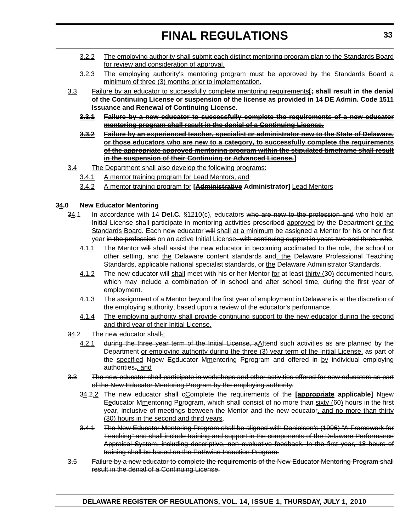- 3.2.2 The employing authority shall submit each distinct mentoring program plan to the Standards Board for review and consideration of approval.
- 3.2.3 The employing authority's mentoring program must be approved by the Standards Board a minimum of three (3) months prior to implementation.
- 3.3 Failure by an educator to successfully complete mentoring requirements**[; shall result in the denial of the Continuing License or suspension of the license as provided in 14 DE Admin. Code 1511 Issuance and Renewal of Continuing License.**
	- **3.3.1 Failure by a new educator to successfully complete the requirements of a new educator mentoring program shall result in the denial of a Continuing License.**
	- **3.3.2 Failure by an experienced teacher, specialist or administrator new to the State of Delaware, or those educators who are new to a category, to successfully complete the requirements of the appropriate approved mentoring program within the stipulated timeframe shall result in the suspension of their Continuing or Advanced License.]**
- 3.4 The Department shall also develop the following programs:
	- 3.4.1 A mentor training program for Lead Mentors, and
	- 3.4.2 A mentor training program for **[Administrative Administrator]** Lead Mentors

# **34.0 New Educator Mentoring**

- 34.1 In accordance with 14 **Del.C.** §1210(c), educators who are new to the profession and who hold an Initial License shall participate in mentoring activities prescribed approved by the Department or the Standards Board. Each new educator will shall at a minimum be assigned a Mentor for his or her first year in the profession on an active Initial License, with continuing support in years two and three, who.
	- 4.1.1 The Mentor will shall assist the new educator in becoming acclimated to the role, the school or other setting, and the Delaware content standards and, the Delaware Professional Teaching Standards, applicable national specialist standards, or the Delaware Administrator Standards.
	- 4.1.2 The new educator will shall meet with his or her Mentor for at least thirty (30) documented hours, which may include a combination of in school and after school time, during the first year of employment.
	- 4.1.3 The assignment of a Mentor beyond the first year of employment in Delaware is at the discretion of the employing authority, based upon a review of the educator's performance.
	- 4.1.4 The employing authority shall provide continuing support to the new educator during the second and third year of their Initial License.
- 34.2 The new educator shall.:
	- 4.2.1 during the three year term of the Initial License, a Attend such activities as are planned by the Department <u>or employing authority during the three</u> (3) year term of the Initial License, as part of the specified Nnew Eeducator Mmentoring Pprogram and offered in by individual employing authorities., and
- 3.3 The new educator shall participate in workshops and other activities offered for new educators as part of the New Educator Mentoring Program by the employing authority.
	- 34.2.2 The new educator shall cComplete the requirements of the **[appropriate applicable]** Nnew Eeducator Mmentoring Pprogram, which shall consist of no more than sixty (60) hours in the first year, inclusive of meetings between the Mentor and the new educator, and no more than thirty (30) hours in the second and third years.
	- 3.4.1 The New Educator Mentoring Program shall be aligned with Danielson's (1996) "A Framework for Teaching" and shall include training and support in the components of the Delaware Performance Appraisal System, including descriptive, non evaluative feedback. In the first year, 18 hours of training shall be based on the Pathwise Induction Program.
- 3.5 Failure by a new educator to complete the requirements of the New Educator Mentoring Program shall result in the denial of a Continuing License.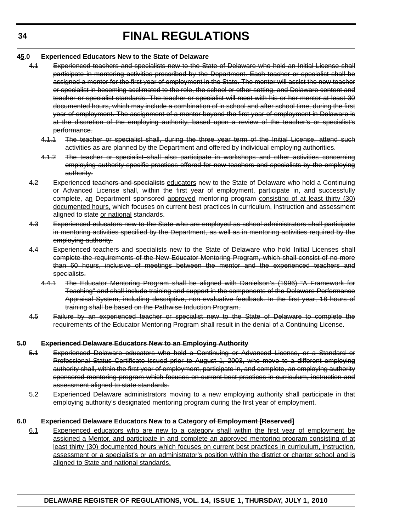# **45.0 Experienced Educators New to the State of Delaware**

- 4.1 Experienced teachers and specialists new to the State of Delaware who hold an Initial License shall participate in mentoring activities prescribed by the Department. Each teacher or specialist shall be assigned a mentor for the first year of employment in the State. The mentor will assist the new teacher or specialist in becoming acclimated to the role, the school or other setting, and Delaware content and teacher or specialist standards. The teacher or specialist will meet with his or her mentor at least 30 documented hours, which may include a combination of in school and after school time, during the first year of employment. The assignment of a mentor beyond the first year of employment in Delaware is at the discretion of the employing authority, based upon a review of the teacher's or specialist's performance.
	- 4.1.1 The teacher or specialist shall, during the three year term of the Initial License, attend such activities as are planned by the Department and offered by individual employing authorities.
	- 4.1.2 The teacher or specialist shall also participate in workshops and other activities concerning employing authority specific practices offered for new teachers and specialists by the employing authority.
- 4.2 Experienced teachers and specialists educators new to the State of Delaware who hold a Continuing or Advanced License shall, within the first year of employment, participate in, and successfully complete, an Department sponsored approved mentoring program consisting of at least thirty (30) documented hours, which focuses on current best practices in curriculum, instruction and assessment aligned to state or national standards.
- 4.3 Experienced educators new to the State who are employed as school administrators shall participate in mentoring activities specified by the Department, as well as in mentoring activities required by the employing authority.
- 4.4 Experienced teachers and specialists new to the State of Delaware who hold Initial Licenses shall complete the requirements of the New Educator Mentoring Program, which shall consist of no more than 60 hours, inclusive of meetings between the mentor and the experienced teachers and specialists.
	- 4.4.1 The Educator Mentoring Program shall be aligned with Danielson's (1996) "A Framework for Teaching" and shall include training and support in the components of the Delaware Performance Appraisal System, including descriptive, non evaluative feedback. In the first year, 18 hours of training shall be based on the Pathwise Induction Program.
- 4.5 Failure by an experienced teacher or specialist new to the State of Delaware to complete the requirements of the Educator Mentoring Program shall result in the denial of a Continuing License.

# **5.0 Experienced Delaware Educators New to an Employing Authority**

- 5.1 Experienced Delaware educators who hold a Continuing or Advanced License, or a Standard or Professional Status Certificate issued prior to August 1, 2003, who move to a different employing authority shall, within the first year of employment, participate in, and complete, an employing authority sponsored mentoring program which focuses on current best practices in curriculum, instruction and assessment aligned to state standards.
- 5.2 Experienced Delaware administrators moving to a new employing authority shall participate in that employing authority's designated mentoring program during the first year of employment.

# **6.0 Experienced Delaware Educators New to a Category of Employment [Reserved]**

6.1 Experienced educators who are new to a category shall within the first year of employment be assigned a Mentor, and participate in and complete an approved mentoring program consisting of at least thirty (30) documented hours which focuses on current best practices in curriculum, instruction, assessment or a specialist's or an administrator's position within the district or charter school and is aligned to State and national standards.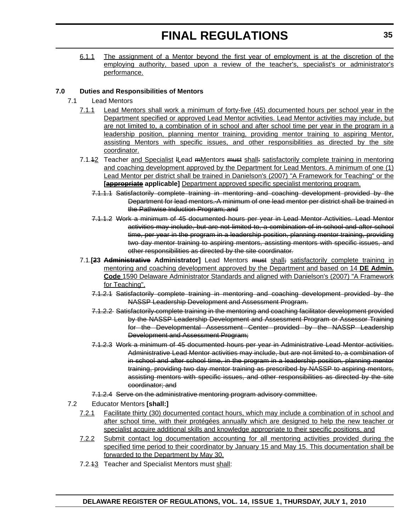6.1.1 The assignment of a Mentor beyond the first year of employment is at the discretion of the employing authority, based upon a review of the teacher's, specialist's or administrator's performance.

# **7.0 Duties and Responsibilities of Mentors**

- 7.1 Lead Mentors
	- 7.1.1 Lead Mentors shall work a minimum of forty-five (45) documented hours per school year in the Department specified or approved Lead Mentor activities. Lead Mentor activities may include, but are not limited to, a combination of in school and after school time per year in the program in a leadership position, planning mentor training, providing mentor training to aspiring Mentor, assisting Mentors with specific issues, and other responsibilities as directed by the site coordinator.
	- 7.1.42 Teacher and Specialist ILead mMentors must shall: satisfactorily complete training in mentoring and coaching development approved by the Department for Lead Mentors. A minimum of one (1) Lead Mentor per district shall be trained in Danielson's (2007) "A Framework for Teaching" or the **[appropriate applicable]** Department approved specific specialist mentoring program.
		- 7.1.1.1 Satisfactorily complete training in mentoring and coaching development provided by the Department for lead mentors. A minimum of one lead mentor per district shall be trained in the Pathwise Induction Program; and
		- 7.1.1.2 Work a minimum of 45 documented hours per year in Lead Mentor Activities. Lead Mentor activities may include, but are not limited to, a combination of in school and after school time, per year in the program in a leadership position, planning mentor training, providing two day mentor training to aspiring mentors, assisting mentors with specific issues, and other responsibilities as directed by the site coordinator.
	- 7.1.**[23 Administrative Administrator]** Lead Mentors must shall; satisfactorily complete training in mentoring and coaching development approved by the Department and based on 14 **DE Admin. Code** 1590 Delaware Administrator Standards and aligned with Danielson's (2007) "A Framework for Teaching".
		- 7.1.2.1 Satisfactorily complete training in mentoring and coaching development provided by the NASSP Leadership Development and Assessment Program.
		- 7.1.2.2 Satisfactorily complete training in the mentoring and coaching facilitator development provided by the NASSP Leadership Development and Assessment Program or Assessor Training for the Developmental Assessment Center provided by the NASSP Leadership Development and Assessment Program;
		- 7.1.2.3 Work a minimum of 45 documented hours per year in Administrative Lead Mentor activities. Administrative Lead Mentor activities may include, but are not limited to, a combination of in school and after school time, in the program in a leadership position, planning mentor training, providing two day mentor training as prescribed by NASSP to aspiring mentors, assisting mentors with specific issues, and other responsibilities as directed by the site coordinator; and
		- 7.1.2.4 Serve on the administrative mentoring program advisory committee.
- 7.2 Educator Mentors **[shall:]**
	- 7.2.1 Facilitate thirty (30) documented contact hours, which may include a combination of in school and after school time, with their protégées annually which are designed to help the new teacher or specialist acquire additional skills and knowledge appropriate to their specific positions, and
	- 7.2.2 Submit contact log documentation accounting for all mentoring activities provided during the specified time period to their coordinator by January 15 and May 15. This documentation shall be forwarded to the Department by May 30.
	- 7.2.43 Teacher and Specialist Mentors must shall: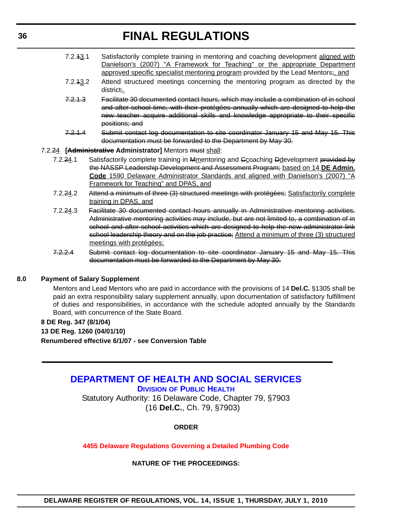- <span id="page-35-0"></span>7.2.13.1 Satisfactorily complete training in mentoring and coaching development aligned with Danielson's (2007) "A Framework for Teaching" or the appropriate Department approved specific specialist mentoring program provided by the Lead Mentors; and
- 7.2.13.2 Attend structured meetings concerning the mentoring program as directed by the district;.
- 7.2.1.3 Facilitate 30 documented contact hours, which may include a combination of in school and after school time, with their protégées annually which are designed to help the new teacher acquire additional skills and knowledge appropriate to their specific positions; and
- 7.2.1.4 Submit contact log documentation to site coordinator January 15 and May 15. This documentation must be forwarded to the Department by May 30.

### 7.2.24 **[Administrative Administrator]** Mentors must shall:

- 7.2.24.1 Satisfactorily complete training in Mmentoring and Ccoaching Ddevelopment provided by the NASSP Leadership Development and Assessment Program; based on 14 **DE Admin. Code** 1590 Delaware Administrator Standards and aligned with Danielson's (2007) "A Framework for Teaching" and DPAS, and
- 7.2.24.2 Attend a minimum of three (3) structured meetings with protégées; Satisfactorily complete training in DPAS, and
- 7.2.24.3 Facilitate 30 documented contact hours annually in Administrative mentoring activities. Administrative mentoring activities may include, but are not limited to, a combination of in school and after school activities which are designed to help the new administrator link school leadership theory and on the job practice; Attend a minimum of three (3) structured meetings with protégées;
- 7.2.2.4 Submit contact log documentation to site coordinator January 15 and May 15. This documentation must be forwarded to the Department by May 30.

### **8.0 Payment of Salary Supplement**

Mentors and Lead Mentors who are paid in accordance with the provisions of 14 **Del.C.** §1305 shall be paid an extra responsibility salary supplement annually, upon documentation of satisfactory fulfillment of duties and responsibilities, in accordance with the schedule adopted annually by the Standards Board, with concurrence of the State Board.

### **8 DE Reg. 347 (8/1/04)**

**13 DE Reg. 1260 (04/01/10)**

**Renumbered effective 6/1/07 - see Conversion Table**

# **[DEPARTMENT OF HEALTH AND SOCIAL SERVICES](http://www.dhss.delaware.gov/dhss/dph/index.html)**

**DIVISION OF PUBLIC HEALTH**

Statutory Authority: 16 Delaware Code, Chapter 79, §7903 (16 **Del.C.**, Ch. 79, §7903)

# **ORDER**

**[4455 Delaware Regulations Governing a Detailed Plumbing Code](#page-3-0)**

# **NATURE OF THE PROCEEDINGS:**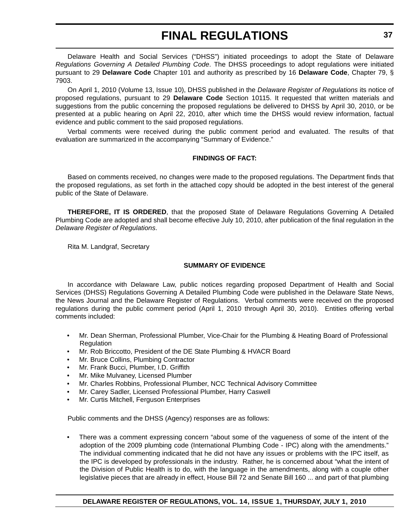Delaware Health and Social Services ("DHSS") initiated proceedings to adopt the State of Delaware *Regulations Governing A Detailed Plumbing Code*. The DHSS proceedings to adopt regulations were initiated pursuant to 29 **Delaware Code** Chapter 101 and authority as prescribed by 16 **Delaware Code**, Chapter 79, § 7903.

On April 1, 2010 (Volume 13, Issue 10), DHSS published in the *Delaware Register of Regulations* its notice of proposed regulations, pursuant to 29 **Delaware Code** Section 10115. It requested that written materials and suggestions from the public concerning the proposed regulations be delivered to DHSS by April 30, 2010, or be presented at a public hearing on April 22, 2010, after which time the DHSS would review information, factual evidence and public comment to the said proposed regulations.

Verbal comments were received during the public comment period and evaluated. The results of that evaluation are summarized in the accompanying "Summary of Evidence."

# **FINDINGS OF FACT:**

Based on comments received, no changes were made to the proposed regulations. The Department finds that the proposed regulations, as set forth in the attached copy should be adopted in the best interest of the general public of the State of Delaware.

**THEREFORE, IT IS ORDERED**, that the proposed State of Delaware Regulations Governing A Detailed Plumbing Code are adopted and shall become effective July 10, 2010, after publication of the final regulation in the *Delaware Register of Regulations*.

Rita M. Landgraf, Secretary

# **SUMMARY OF EVIDENCE**

In accordance with Delaware Law, public notices regarding proposed Department of Health and Social Services (DHSS) Regulations Governing A Detailed Plumbing Code were published in the Delaware State News, the News Journal and the Delaware Register of Regulations. Verbal comments were received on the proposed regulations during the public comment period (April 1, 2010 through April 30, 2010). Entities offering verbal comments included:

- Mr. Dean Sherman, Professional Plumber, Vice-Chair for the Plumbing & Heating Board of Professional Regulation
- Mr. Rob Briccotto, President of the DE State Plumbing & HVACR Board
- Mr. Bruce Collins, Plumbing Contractor
- Mr. Frank Bucci, Plumber, I.D. Griffith
- Mr. Mike Mulvaney, Licensed Plumber
- Mr. Charles Robbins, Professional Plumber, NCC Technical Advisory Committee
- Mr. Carey Sadler, Licensed Professional Plumber, Harry Caswell
- Mr. Curtis Mitchell, Ferguson Enterprises

Public comments and the DHSS (Agency) responses are as follows:

• There was a comment expressing concern "about some of the vagueness of some of the intent of the adoption of the 2009 plumbing code (International Plumbing Code - IPC) along with the amendments." The individual commenting indicated that he did not have any issues or problems with the IPC itself, as the IPC is developed by professionals in the industry. Rather, he is concerned about "what the intent of the Division of Public Health is to do, with the language in the amendments, along with a couple other legislative pieces that are already in effect, House Bill 72 and Senate Bill 160 ... and part of that plumbing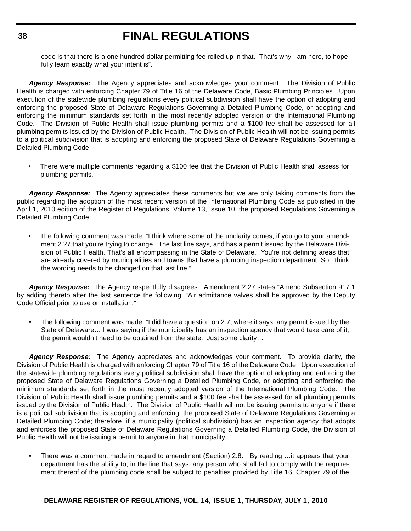code is that there is a one hundred dollar permitting fee rolled up in that. That's why I am here, to hopefully learn exactly what your intent is".

*Agency Response:* The Agency appreciates and acknowledges your comment. The Division of Public Health is charged with enforcing Chapter 79 of Title 16 of the Delaware Code, Basic Plumbing Principles. Upon execution of the statewide plumbing regulations every political subdivision shall have the option of adopting and enforcing the proposed State of Delaware Regulations Governing a Detailed Plumbing Code, or adopting and enforcing the minimum standards set forth in the most recently adopted version of the International Plumbing Code. The Division of Public Health shall issue plumbing permits and a \$100 fee shall be assessed for all plumbing permits issued by the Division of Public Health. The Division of Public Health will not be issuing permits to a political subdivision that is adopting and enforcing the proposed State of Delaware Regulations Governing a Detailed Plumbing Code.

• There were multiple comments regarding a \$100 fee that the Division of Public Health shall assess for plumbing permits.

*Agency Response:* The Agency appreciates these comments but we are only taking comments from the public regarding the adoption of the most recent version of the International Plumbing Code as published in the April 1, 2010 edition of the Register of Regulations, Volume 13, Issue 10, the proposed Regulations Governing a Detailed Plumbing Code.

The following comment was made, "I think where some of the unclarity comes, if you go to your amendment 2.27 that you're trying to change. The last line says, and has a permit issued by the Delaware Division of Public Health. That's all encompassing in the State of Delaware. You're not defining areas that are already covered by municipalities and towns that have a plumbing inspection department. So I think the wording needs to be changed on that last line."

Agency Response: The Agency respectfully disagrees. Amendment 2.27 states "Amend Subsection 917.1 by adding thereto after the last sentence the following: "Air admittance valves shall be approved by the Deputy Code Official prior to use or installation."

• The following comment was made, "I did have a question on 2.7, where it says, any permit issued by the State of Delaware… I was saying if the municipality has an inspection agency that would take care of it; the permit wouldn't need to be obtained from the state. Just some clarity…"

*Agency Response:* The Agency appreciates and acknowledges your comment. To provide clarity, the Division of Public Health is charged with enforcing Chapter 79 of Title 16 of the Delaware Code. Upon execution of the statewide plumbing regulations every political subdivision shall have the option of adopting and enforcing the proposed State of Delaware Regulations Governing a Detailed Plumbing Code, or adopting and enforcing the minimum standards set forth in the most recently adopted version of the International Plumbing Code. The Division of Public Health shall issue plumbing permits and a \$100 fee shall be assessed for all plumbing permits issued by the Division of Public Health. The Division of Public Health will not be issuing permits to anyone if there is a political subdivision that is adopting and enforcing. the proposed State of Delaware Regulations Governing a Detailed Plumbing Code; therefore, if a municipality (political subdivision) has an inspection agency that adopts and enforces the proposed State of Delaware Regulations Governing a Detailed Plumbing Code, the Division of Public Health will not be issuing a permit to anyone in that municipality.

• There was a comment made in regard to amendment (Section) 2.8. "By reading …it appears that your department has the ability to, in the line that says, any person who shall fail to comply with the requirement thereof of the plumbing code shall be subject to penalties provided by Title 16, Chapter 79 of the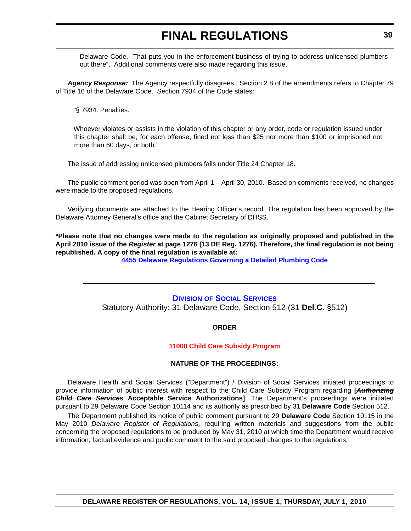<span id="page-38-0"></span>Delaware Code. That puts you in the enforcement business of trying to address unlicensed plumbers out there". Additional comments were also made regarding this issue.

*Agency Response:* The Agency respectfully disagrees. Section 2.8 of the amendments refers to Chapter 79 of Title 16 of the Delaware Code. Section 7934 of the Code states:

"§ 7934. Penalties.

Whoever violates or assists in the violation of this chapter or any order, code or regulation issued under this chapter shall be, for each offense, fined not less than \$25 nor more than \$100 or imprisoned not more than 60 days, or both."

The issue of addressing unlicensed plumbers falls under Title 24 Chapter 18.

The public comment period was open from April 1 – April 30, 2010. Based on comments received, no changes were made to the proposed regulations.

Verifying documents are attached to the Hearing Officer's record. The regulation has been approved by the Delaware Attorney General's office and the Cabinet Secretary of DHSS.

**\*Please note that no changes were made to the regulation as originally proposed and published in the April 2010 issue of the** *Register* **at page 1276 (13 DE Reg. 1276). Therefore, the final regulation is not being republished. A copy of the final regulation is available at:**

**[4455 Delaware Regulations Governing a Detailed Plumbing Code](http://regulations.delaware.gov/register/july2010/final/14 DE Reg 36 07-01-10.htm)**

**DIVISION [OF SOCIAL SERVICES](http://www.dhss.delaware.gov/dhss/dss/index.html)**

Statutory Authority: 31 Delaware Code, Section 512 (31 **Del.C.** §512)

**ORDER**

# **[11000 Child Care Subsidy Program](#page-3-0)**

# **NATURE OF THE PROCEEDINGS:**

Delaware Health and Social Services ("Department") / Division of Social Services initiated proceedings to provide information of public interest with respect to the Child Care Subsidy Program regarding **[***Authorizing Child Care Services* **Acceptable Service Authorizations]**. The Department's proceedings were initiated pursuant to 29 Delaware Code Section 10114 and its authority as prescribed by 31 **Delaware Code** Section 512.

The Department published its notice of public comment pursuant to 29 **Delaware Code** Section 10115 in the May 2010 *Delaware Register of Regulations*, requiring written materials and suggestions from the public concerning the proposed regulations to be produced by May 31, 2010 at which time the Department would receive information, factual evidence and public comment to the said proposed changes to the regulations.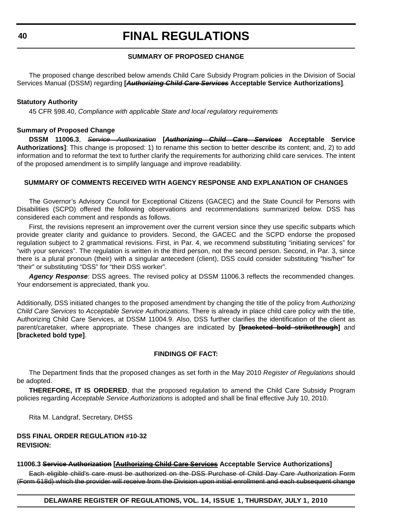# **SUMMARY OF PROPOSED CHANGE**

The proposed change described below amends Child Care Subsidy Program policies in the Division of Social Services Manual (DSSM) regarding **[***Authorizing Child Care Services* **Acceptable Service Authorizations]**.

### **Statutory Authority**

45 CFR §98.40, *Compliance with applicable State and local regulatory requirements*

# **Summary of Proposed Change**

**DSSM 11006.3**, *Service Authorization* **[***Authorizing Child Care Services* **Acceptable Service Authorizations]**: This change is proposed: 1) to rename this section to better describe its content; and, 2) to add information and to reformat the text to further clarify the requirements for authorizing child care services. The intent of the proposed amendment is to simplify language and improve readability.

# **SUMMARY OF COMMENTS RECEIVED WITH AGENCY RESPONSE AND EXPLANATION OF CHANGES**

The Governor's Advisory Council for Exceptional Citizens (GACEC) and the State Council for Persons with Disabilities (SCPD) offered the following observations and recommendations summarized below. DSS has considered each comment and responds as follows.

First, the revisions represent an improvement over the current version since they use specific subparts which provide greater clarity and guidance to providers. Second, the GACEC and the SCPD endorse the proposed regulation subject to 2 grammatical revisions. First, in Par. 4, we recommend substituting "initiating services" for "with your services". The regulation is written in the third person, not the second person. Second, in Par. 3, since there is a plural pronoun (their) with a singular antecedent (client), DSS could consider substituting "his/her" for "their" or substituting "DSS" for "their DSS worker".

*Agency Response*: DSS agrees. The revised policy at DSSM 11006.3 reflects the recommended changes. Your endorsement is appreciated, thank you.

Additionally, DSS initiated changes to the proposed amendment by changing the title of the policy from *Authorizing Child Care Services* to *Acceptable Service Authorizations*. There is already in place child care policy with the title, Authorizing Child Care Services, at DSSM 11004.9. Also, DSS further clarifies the identification of the client as parent/caretaker, where appropriate. These changes are indicated by **[bracketed bold strikethrough]** and **[bracketed bold type]**.

# **FINDINGS OF FACT:**

The Department finds that the proposed changes as set forth in the May 2010 *Register of Regulations* should be adopted.

**THEREFORE, IT IS ORDERED**, that the proposed regulation to amend the Child Care Subsidy Program policies regarding *Acceptable Service Authorizations* is adopted and shall be final effective July 10, 2010.

Rita M. Landgraf, Secretary, DHSS

# **DSS FINAL ORDER REGULATION #10-32 REVISION:**

### **11006.3 Service Authorization [Authorizing Child Care Services Acceptable Service Authorizations]**

Each eligible child's care must be authorized on the DSS Purchase of Child Day Care Authorization Form (Form 618d) which the provider will receive from the Division upon initial enrollment and each subsequent change

**DELAWARE REGISTER OF REGULATIONS, VOL. 14, ISSUE 1, THURSDAY, JULY 1, 2010**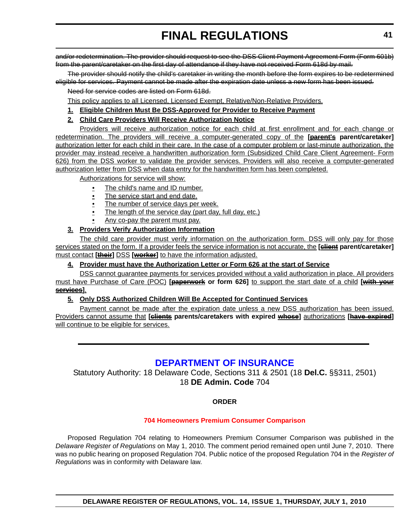<span id="page-40-0"></span>and/or redetermination. The provider should request to see the DSS Client Payment Agreement Form (Form 601b) from the parent/caretaker on the first day of attendance if they have not received Form 618d by mail.

The provider should notify the child's caretaker in writing the month before the form expires to be redetermined eligible for services. Payment cannot be made after the expiration date unless a new form has been issued.

Need for service codes are listed on Form 618d.

This policy applies to all Licensed, Licensed Exempt, Relative/Non-Relative Providers.

- **1. Eligible Children Must Be DSS-Approved for Provider to Receive Payment**
- **2. Child Care Providers Will Receive Authorization Notice**

Providers will receive authorization notice for each child at first enrollment and for each change or redetermination. The providers will receive a computer-generated copy of the **[parent's parent/caretaker]** authorization letter for each child in their care. In the case of a computer problem or last-minute authorization, the provider may instead receive a handwritten authorization form (Subsidized Child Care Client Agreement- Form 626) from the DSS worker to validate the provider services. Providers will also receive a computer-generated authorization letter from DSS when data entry for the handwritten form has been completed.

Authorizations for service will show:

- The child's name and ID number.
- The service start and end date.
- The number of service days per week.
- The length of the service day (part day, full day, etc.)
- Any co-pay the parent must pay.

# **3. Providers Verify Authorization Information**

The child care provider must verify information on the authorization form. DSS will only pay for those services stated on the form. If a provider feels the service information is not accurate, the **[client parent/caretaker]** must contact **[their]** DSS **[worker]** to have the information adjusted.

# **4. Provider must have the Authorization Letter or Form 626 at the start of Service**

DSS cannot guarantee payments for services provided without a valid authorization in place. All providers must have Purchase of Care (POC) **[paperwork or form 626]** to support the start date of a child **[with your services]**.

# **5. Only DSS Authorized Children Will Be Accepted for Continued Services**

Payment cannot be made after the expiration date unless a new DSS authorization has been issued. Providers cannot assume that **[clients parents/caretakers with expired whose]** authorizations **[have expired]** will continue to be eligible for services.

# **[DEPARTMENT OF INSURANCE](http://www.delawareinsurance.gov/)**

Statutory Authority: 18 Delaware Code, Sections 311 & 2501 (18 **Del.C.** §§311, 2501) 18 **DE Admin. Code** 704

# **ORDER**

# **[704 Homeowners Premium Consumer Comparison](#page-4-0)**

Proposed Regulation 704 relating to Homeowners Premium Consumer Comparison was published in the *Delaware Register of Regulations* on May 1, 2010. The comment period remained open until June 7, 2010. There was no public hearing on proposed Regulation 704. Public notice of the proposed Regulation 704 in the *Register of Regulations* was in conformity with Delaware law.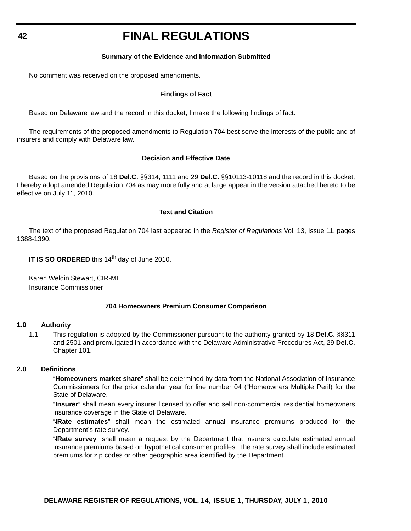# **Summary of the Evidence and Information Submitted**

No comment was received on the proposed amendments.

# **Findings of Fact**

Based on Delaware law and the record in this docket, I make the following findings of fact:

The requirements of the proposed amendments to Regulation 704 best serve the interests of the public and of insurers and comply with Delaware law.

# **Decision and Effective Date**

Based on the provisions of 18 **Del.C.** §§314, 1111 and 29 **Del.C.** §§10113-10118 and the record in this docket, I hereby adopt amended Regulation 704 as may more fully and at large appear in the version attached hereto to be effective on July 11, 2010.

# **Text and Citation**

The text of the proposed Regulation 704 last appeared in the *Register of Regulations* Vol. 13, Issue 11, pages 1388-1390.

**IT IS SO ORDERED** this 14<sup>th</sup> day of June 2010.

Karen Weldin Stewart, CIR-ML Insurance Commissioner

# **704 Homeowners Premium Consumer Comparison**

### **1.0 Authority**

1.1 This regulation is adopted by the Commissioner pursuant to the authority granted by 18 **Del.C.** §§311 and 2501 and promulgated in accordance with the Delaware Administrative Procedures Act, 29 **Del.C.** Chapter 101.

# **2.0 Definitions**

"**Homeowners market share**" shall be determined by data from the National Association of Insurance Commissioners for the prior calendar year for line number 04 ("Homeowners Multiple Peril) for the State of Delaware.

"**Insurer**" shall mean every insurer licensed to offer and sell non-commercial residential homeowners insurance coverage in the State of Delaware.

"**IRate estimates**" shall mean the estimated annual insurance premiums produced for the Department's rate survey.

"**IRate survey**" shall mean a request by the Department that insurers calculate estimated annual insurance premiums based on hypothetical consumer profiles. The rate survey shall include estimated premiums for zip codes or other geographic area identified by the Department.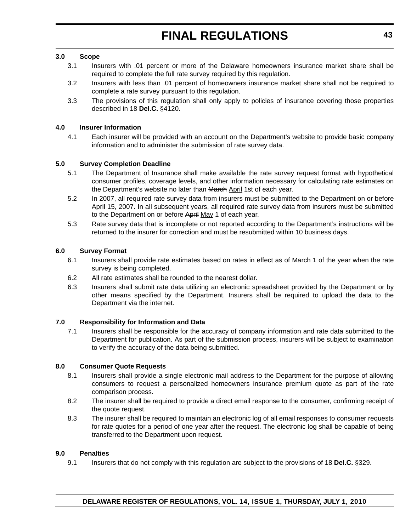# **3.0 Scope**

- 3.1 Insurers with .01 percent or more of the Delaware homeowners insurance market share shall be required to complete the full rate survey required by this regulation.
- 3.2 Insurers with less than .01 percent of homeowners insurance market share shall not be required to complete a rate survey pursuant to this regulation.
- 3.3 The provisions of this regulation shall only apply to policies of insurance covering those properties described in 18 **Del.C.** §4120.

# **4.0 Insurer Information**

4.1 Each insurer will be provided with an account on the Department's website to provide basic company information and to administer the submission of rate survey data.

# **5.0 Survey Completion Deadline**

- 5.1 The Department of Insurance shall make available the rate survey request format with hypothetical consumer profiles, coverage levels, and other information necessary for calculating rate estimates on the Department's website no later than March April 1st of each year.
- 5.2 In 2007, all required rate survey data from insurers must be submitted to the Department on or before April 15, 2007. In all subsequent years, all required rate survey data from insurers must be submitted to the Department on or before April May 1 of each year.
- 5.3 Rate survey data that is incomplete or not reported according to the Department's instructions will be returned to the insurer for correction and must be resubmitted within 10 business days.

### **6.0 Survey Format**

- 6.1 Insurers shall provide rate estimates based on rates in effect as of March 1 of the year when the rate survey is being completed.
- 6.2 All rate estimates shall be rounded to the nearest dollar.
- 6.3 Insurers shall submit rate data utilizing an electronic spreadsheet provided by the Department or by other means specified by the Department. Insurers shall be required to upload the data to the Department via the internet.

### **7.0 Responsibility for Information and Data**

7.1 Insurers shall be responsible for the accuracy of company information and rate data submitted to the Department for publication. As part of the submission process, insurers will be subject to examination to verify the accuracy of the data being submitted.

### **8.0 Consumer Quote Requests**

- 8.1 Insurers shall provide a single electronic mail address to the Department for the purpose of allowing consumers to request a personalized homeowners insurance premium quote as part of the rate comparison process.
- 8.2 The insurer shall be required to provide a direct email response to the consumer, confirming receipt of the quote request.
- 8.3 The insurer shall be required to maintain an electronic log of all email responses to consumer requests for rate quotes for a period of one year after the request. The electronic log shall be capable of being transferred to the Department upon request.

#### **9.0 Penalties**

9.1 Insurers that do not comply with this regulation are subject to the provisions of 18 **Del.C.** §329.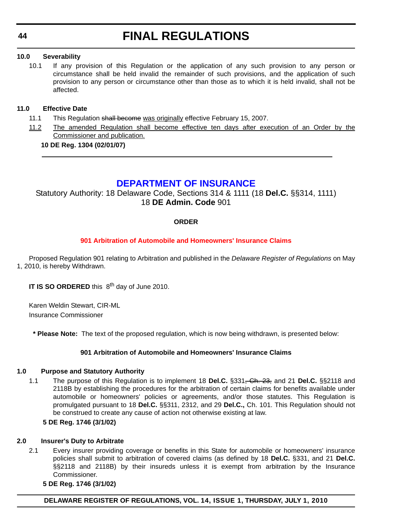# <span id="page-43-0"></span>**10.0 Severability**

10.1 If any provision of this Regulation or the application of any such provision to any person or circumstance shall be held invalid the remainder of such provisions, and the application of such provision to any person or circumstance other than those as to which it is held invalid, shall not be affected.

# **11.0 Effective Date**

- 11.1 This Regulation shall become was originally effective February 15, 2007.
- 11.2 The amended Regulation shall become effective ten days after execution of an Order by the Commissioner and publication.

# **10 DE Reg. 1304 (02/01/07)**

# **[DEPARTMENT OF INSURANCE](http://www.delawareinsurance.gov/)**

Statutory Authority: 18 Delaware Code, Sections 314 & 1111 (18 **Del.C.** §§314, 1111) 18 **DE Admin. Code** 901

# **ORDER**

# **[901 Arbitration of Automobile and Homeowners' Insurance Claims](#page-4-0)**

Proposed Regulation 901 relating to Arbitration and published in the *Delaware Register of Regulations* on May 1, 2010, is hereby Withdrawn.

**IT IS SO ORDERED** this 8<sup>th</sup> day of June 2010.

Karen Weldin Stewart, CIR-ML Insurance Commissioner

**\* Please Note:** The text of the proposed regulation, which is now being withdrawn, is presented below:

# **901 Arbitration of Automobile and Homeowners' Insurance Claims**

# **1.0 Purpose and Statutory Authority**

1.1 The purpose of this Regulation is to implement 18 **Del.C.** §331, Ch. 23, and 21 **Del.C.** §§2118 and 2118B by establishing the procedures for the arbitration of certain claims for benefits available under automobile or homeowners' policies or agreements, and/or those statutes. This Regulation is promulgated pursuant to 18 **Del.C.** §§311, 2312, and 29 **Del.C.,** Ch. 101. This Regulation should not be construed to create any cause of action not otherwise existing at law.

### **5 DE Reg. 1746 (3/1/02)**

### **2.0 Insurer's Duty to Arbitrate**

2.1 Every insurer providing coverage or benefits in this State for automobile or homeowners' insurance policies shall submit to arbitration of covered claims (as defined by 18 **Del.C.** §331, and 21 **Del.C.** §§2118 and 2118B) by their insureds unless it is exempt from arbitration by the Insurance Commissioner.

### **5 DE Reg. 1746 (3/1/02)**

**DELAWARE REGISTER OF REGULATIONS, VOL. 14, ISSUE 1, THURSDAY, JULY 1, 2010**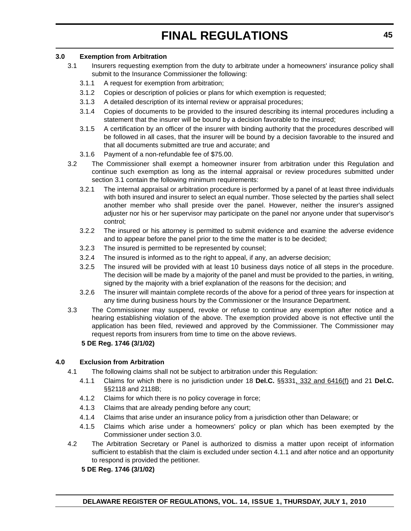# **3.0 Exemption from Arbitration**

- 3.1 Insurers requesting exemption from the duty to arbitrate under a homeowners' insurance policy shall submit to the Insurance Commissioner the following:
	- 3.1.1 A request for exemption from arbitration;
	- 3.1.2 Copies or description of policies or plans for which exemption is requested;
	- 3.1.3 A detailed description of its internal review or appraisal procedures;
	- 3.1.4 Copies of documents to be provided to the insured describing its internal procedures including a statement that the insurer will be bound by a decision favorable to the insured;
	- 3.1.5 A certification by an officer of the insurer with binding authority that the procedures described will be followed in all cases, that the insurer will be bound by a decision favorable to the insured and that all documents submitted are true and accurate; and
	- 3.1.6 Payment of a non-refundable fee of \$75.00.
- 3.2 The Commissioner shall exempt a homeowner insurer from arbitration under this Regulation and continue such exemption as long as the internal appraisal or review procedures submitted under section 3.1 contain the following minimum requirements:
	- 3.2.1 The internal appraisal or arbitration procedure is performed by a panel of at least three individuals with both insured and insurer to select an equal number. Those selected by the parties shall select another member who shall preside over the panel. However, neither the insurer's assigned adjuster nor his or her supervisor may participate on the panel nor anyone under that supervisor's control;
	- 3.2.2 The insured or his attorney is permitted to submit evidence and examine the adverse evidence and to appear before the panel prior to the time the matter is to be decided;
	- 3.2.3 The insured is permitted to be represented by counsel;
	- 3.2.4 The insured is informed as to the right to appeal, if any, an adverse decision;
	- 3.2.5 The insured will be provided with at least 10 business days notice of all steps in the procedure. The decision will be made by a majority of the panel and must be provided to the parties, in writing, signed by the majority with a brief explanation of the reasons for the decision; and
	- 3.2.6 The insurer will maintain complete records of the above for a period of three years for inspection at any time during business hours by the Commissioner or the Insurance Department.
- 3.3 The Commissioner may suspend, revoke or refuse to continue any exemption after notice and a hearing establishing violation of the above. The exemption provided above is not effective until the application has been filed, reviewed and approved by the Commissioner. The Commissioner may request reports from insurers from time to time on the above reviews.

# **5 DE Reg. 1746 (3/1/02)**

# **4.0 Exclusion from Arbitration**

- 4.1 The following claims shall not be subject to arbitration under this Regulation:
	- 4.1.1 Claims for which there is no jurisdiction under 18 **Del.C.** §§331, 332 and 6416(f) and 21 **Del.C.** §§2118 and 2118B;
	- 4.1.2 Claims for which there is no policy coverage in force;
	- 4.1.3 Claims that are already pending before any court;
	- 4.1.4 Claims that arise under an insurance policy from a jurisdiction other than Delaware; or
	- 4.1.5 Claims which arise under a homeowners' policy or plan which has been exempted by the Commissioner under section 3.0.
- 4.2 The Arbitration Secretary or Panel is authorized to dismiss a matter upon receipt of information sufficient to establish that the claim is excluded under section 4.1.1 and after notice and an opportunity to respond is provided the petitioner.

# **5 DE Reg. 1746 (3/1/02)**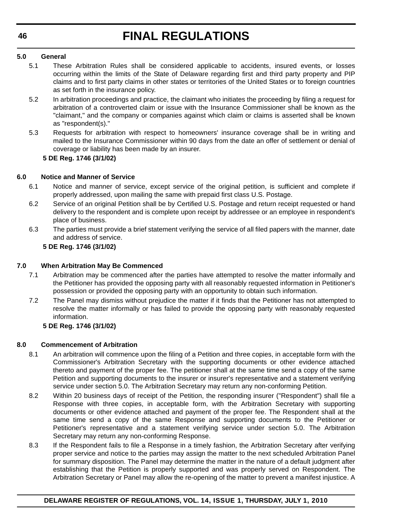# **5.0 General**

- 5.1 These Arbitration Rules shall be considered applicable to accidents, insured events, or losses occurring within the limits of the State of Delaware regarding first and third party property and PIP claims and to first party claims in other states or territories of the United States or to foreign countries as set forth in the insurance policy.
- 5.2 In arbitration proceedings and practice, the claimant who initiates the proceeding by filing a request for arbitration of a controverted claim or issue with the Insurance Commissioner shall be known as the "claimant," and the company or companies against which claim or claims is asserted shall be known as "respondent(s)."
- 5.3 Requests for arbitration with respect to homeowners' insurance coverage shall be in writing and mailed to the Insurance Commissioner within 90 days from the date an offer of settlement or denial of coverage or liability has been made by an insurer.

# **5 DE Reg. 1746 (3/1/02)**

# **6.0 Notice and Manner of Service**

- 6.1 Notice and manner of service, except service of the original petition, is sufficient and complete if properly addressed, upon mailing the same with prepaid first class U.S. Postage.
- 6.2 Service of an original Petition shall be by Certified U.S. Postage and return receipt requested or hand delivery to the respondent and is complete upon receipt by addressee or an employee in respondent's place of business.
- 6.3 The parties must provide a brief statement verifying the service of all filed papers with the manner, date and address of service.

# **5 DE Reg. 1746 (3/1/02)**

# **7.0 When Arbitration May Be Commenced**

- 7.1 Arbitration may be commenced after the parties have attempted to resolve the matter informally and the Petitioner has provided the opposing party with all reasonably requested information in Petitioner's possession or provided the opposing party with an opportunity to obtain such information.
- 7.2 The Panel may dismiss without prejudice the matter if it finds that the Petitioner has not attempted to resolve the matter informally or has failed to provide the opposing party with reasonably requested information.

# **5 DE Reg. 1746 (3/1/02)**

# **8.0 Commencement of Arbitration**

- 8.1 An arbitration will commence upon the filing of a Petition and three copies, in acceptable form with the Commissioner's Arbitration Secretary with the supporting documents or other evidence attached thereto and payment of the proper fee. The petitioner shall at the same time send a copy of the same Petition and supporting documents to the insurer or insurer's representative and a statement verifying service under section 5.0. The Arbitration Secretary may return any non-conforming Petition.
- 8.2 Within 20 business days of receipt of the Petition, the responding insurer ("Respondent") shall file a Response with three copies, in acceptable form, with the Arbitration Secretary with supporting documents or other evidence attached and payment of the proper fee. The Respondent shall at the same time send a copy of the same Response and supporting documents to the Petitioner or Petitioner's representative and a statement verifying service under section 5.0. The Arbitration Secretary may return any non-conforming Response.
- 8.3 If the Respondent fails to file a Response in a timely fashion, the Arbitration Secretary after verifying proper service and notice to the parties may assign the matter to the next scheduled Arbitration Panel for summary disposition. The Panel may determine the matter in the nature of a default judgment after establishing that the Petition is properly supported and was properly served on Respondent. The Arbitration Secretary or Panel may allow the re-opening of the matter to prevent a manifest injustice. A

# **46**

# **DELAWARE REGISTER OF REGULATIONS, VOL. 14, ISSUE 1, THURSDAY, JULY 1, 2010**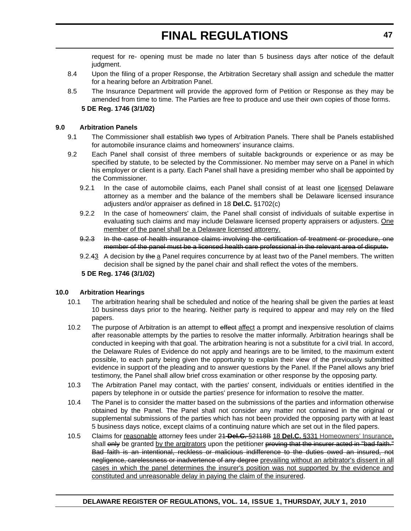request for re- opening must be made no later than 5 business days after notice of the default judgment.

- 8.4 Upon the filing of a proper Response, the Arbitration Secretary shall assign and schedule the matter for a hearing before an Arbitration Panel.
- 8.5 The Insurance Department will provide the approved form of Petition or Response as they may be amended from time to time. The Parties are free to produce and use their own copies of those forms.

# **5 DE Reg. 1746 (3/1/02)**

# **9.0 Arbitration Panels**

- 9.1 The Commissioner shall establish two types of Arbitration Panels. There shall be Panels established for automobile insurance claims and homeowners' insurance claims.
- 9.2 Each Panel shall consist of three members of suitable backgrounds or experience or as may be specified by statute, to be selected by the Commissioner. No member may serve on a Panel in which his employer or client is a party. Each Panel shall have a presiding member who shall be appointed by the Commissioner.
	- 9.2.1 In the case of automobile claims, each Panel shall consist of at least one licensed Delaware attorney as a member and the balance of the members shall be Delaware licensed insurance adjusters and/or appraiser as defined in 18 **Del.C.** §1702(c)
	- 9.2.2 In the case of homeowners' claim, the Panel shall consist of individuals of suitable expertise in evaluating such claims and may include Delaware licensed property appraisers or adjusters. One member of the panel shall be a Delaware licensed attoreny.
	- 9.2.3 In the case of health insurance claims involving the certification of treatment or procedure, one member of the panel must be a licensed health care professional in the relevant area of dispute.
	- 9.2.43 A decision by the a Panel requires concurrence by at least two of the Panel members. The written decision shall be signed by the panel chair and shall reflect the votes of the members.

# **5 DE Reg. 1746 (3/1/02)**

# **10.0 Arbitration Hearings**

- 10.1 The arbitration hearing shall be scheduled and notice of the hearing shall be given the parties at least 10 business days prior to the hearing. Neither party is required to appear and may rely on the filed papers.
- 10.2 The purpose of Arbitration is an attempt to effect affect a prompt and inexpensive resolution of claims after reasonable attempts by the parties to resolve the matter informally. Arbitration hearings shall be conducted in keeping with that goal. The arbitration hearing is not a substitute for a civil trial. In accord, the Delaware Rules of Evidence do not apply and hearings are to be limited, to the maximum extent possible, to each party being given the opportunity to explain their view of the previously submitted evidence in support of the pleading and to answer questions by the Panel. If the Panel allows any brief testimony, the Panel shall allow brief cross examination or other response by the opposing party.
- 10.3 The Arbitration Panel may contact, with the parties' consent, individuals or entities identified in the papers by telephone in or outside the parties' presence for information to resolve the matter.
- 10.4 The Panel is to consider the matter based on the submissions of the parties and information otherwise obtained by the Panel. The Panel shall not consider any matter not contained in the original or supplemental submissions of the parties which has not been provided the opposing party with at least 5 business days notice, except claims of a continuing nature which are set out in the filed papers.
- 10.5 Claims for reasonable attorney fees under 21 **Del.C.** §2118B 18 **Del.C.** §331 Homeowners' Insurance, shall only be granted by the argitrators upon the petitioner proving that the insurer acted in "bad faith." Bad faith is an intentional, reckless or malicious indifference to the duties owed an insured, not negligence, carelessness or inadvertence of any degree prevailing without an arbitrator's dissent in all cases in which the panel determines the insurer's position was not supported by the evidence and constituted and unreasonable delay in paying the claim of the insurered.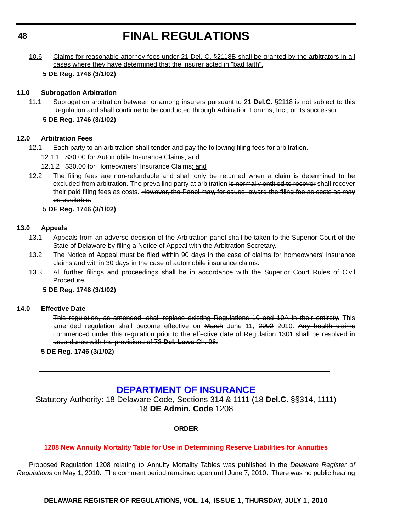<span id="page-47-0"></span>10.6 Claims for reasonable attorney fees under 21 Del. C. §2118B shall be granted by the arbitrators in all cases where they have determined that the insurer acted in "bad faith".

# **5 DE Reg. 1746 (3/1/02)**

# **11.0 Subrogation Arbitration**

- 11.1 Subrogation arbitration between or among insurers pursuant to 21 **Del.C.** §2118 is not subject to this Regulation and shall continue to be conducted through Arbitration Forums, Inc., or its successor.
	- **5 DE Reg. 1746 (3/1/02)**

# **12.0 Arbitration Fees**

- 12.1 Each party to an arbitration shall tender and pay the following filing fees for arbitration.
	- 12.1.1 \$30.00 for Automobile Insurance Claims; and
	- 12.1.2 \$30.00 for Homeowners' Insurance Claims; and
- 12.2 The filing fees are non-refundable and shall only be returned when a claim is determined to be excluded from arbitration. The prevailing party at arbitration is normally entitled to recover shall recover their paid filing fees as costs. However, the Panel may, for cause, award the filing fee as costs as may be equitable.

# **5 DE Reg. 1746 (3/1/02)**

# **13.0 Appeals**

- 13.1 Appeals from an adverse decision of the Arbitration panel shall be taken to the Superior Court of the State of Delaware by filing a Notice of Appeal with the Arbitration Secretary.
- 13.2 The Notice of Appeal must be filed within 90 days in the case of claims for homeowners' insurance claims and within 30 days in the case of automobile insurance claims.
- 13.3 All further filings and proceedings shall be in accordance with the Superior Court Rules of Civil Procedure.

# **5 DE Reg. 1746 (3/1/02)**

# **14.0 Effective Date**

This regulation, as amended, shall replace existing Regulations 10 and 10A in their entirety. This amended regulation shall become effective on March June 11, 2002 2010. Any health claims commenced under this regulation prior to the effective date of Regulation 1301 shall be resolved in accordance with the provisions of 73 **Del. Laws** Ch. 96.

# **5 DE Reg. 1746 (3/1/02)**

# **[DEPARTMENT OF INSURANCE](http://www.delawareinsurance.gov/)**

Statutory Authority: 18 Delaware Code, Sections 314 & 1111 (18 **Del.C.** §§314, 1111) 18 **DE Admin. Code** 1208

# **ORDER**

# **[1208 New Annuity Mortality Table for Use in Determining Reserve Liabilities for Annuities](#page-4-0)**

Proposed Regulation 1208 relating to Annuity Mortality Tables was published in the *Delaware Register of Regulations* on May 1, 2010. The comment period remained open until June 7, 2010. There was no public hearing

**DELAWARE REGISTER OF REGULATIONS, VOL. 14, ISSUE 1, THURSDAY, JULY 1, 2010**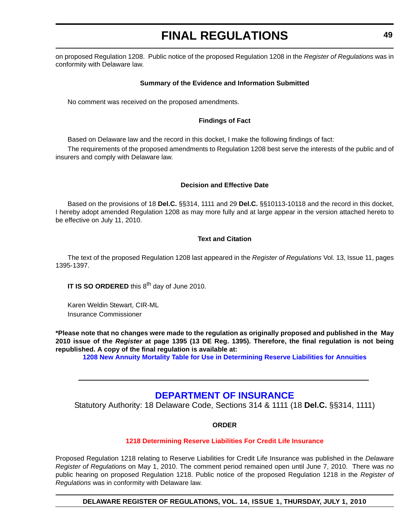<span id="page-48-0"></span>on proposed Regulation 1208. Public notice of the proposed Regulation 1208 in the *Register of Regulations* was in conformity with Delaware law.

# **Summary of the Evidence and Information Submitted**

No comment was received on the proposed amendments.

# **Findings of Fact**

Based on Delaware law and the record in this docket, I make the following findings of fact:

The requirements of the proposed amendments to Regulation 1208 best serve the interests of the public and of insurers and comply with Delaware law.

# **Decision and Effective Date**

Based on the provisions of 18 **Del.C.** §§314, 1111 and 29 **Del.C.** §§10113-10118 and the record in this docket, I hereby adopt amended Regulation 1208 as may more fully and at large appear in the version attached hereto to be effective on July 11, 2010.

# **Text and Citation**

The text of the proposed Regulation 1208 last appeared in the *Register of Regulations* Vol. 13, Issue 11, pages 1395-1397.

**IT IS SO ORDERED** this 8<sup>th</sup> day of June 2010.

Karen Weldin Stewart, CIR-ML Insurance Commissioner

**\*Please note that no changes were made to the regulation as originally proposed and published in the May 2010 issue of the** *Register* **at page 1395 (13 DE Reg. 1395). Therefore, the final regulation is not being republished. A copy of the final regulation is available at:**

**[1208 New Annuity Mortality Table for Use in Determining Reserve Liabilities for Annuities](http://regulations.delaware.gov/register/july2010/final/14 DE Reg 48 07-01-10.htm)**

# **[DEPARTMENT OF INSURANCE](http://www.delawareinsurance.gov/)**

Statutory Authority: 18 Delaware Code, Sections 314 & 1111 (18 **Del.C.** §§314, 1111)

# **ORDER**

# **[1218 Determining Reserve Liabilities For Credit Life Insurance](#page-4-0)**

Proposed Regulation 1218 relating to Reserve Liabilities for Credit Life Insurance was published in the *Delaware Register of Regulation*s on May 1, 2010. The comment period remained open until June 7, 2010. There was no public hearing on proposed Regulation 1218. Public notice of the proposed Regulation 1218 in the *Register of Regulations* was in conformity with Delaware law.

**DELAWARE REGISTER OF REGULATIONS, VOL. 14, ISSUE 1, THURSDAY, JULY 1, 2010**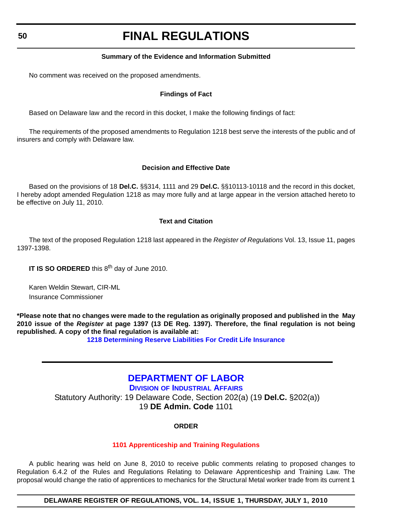# **Summary of the Evidence and Information Submitted**

<span id="page-49-0"></span>No comment was received on the proposed amendments.

# **Findings of Fact**

Based on Delaware law and the record in this docket, I make the following findings of fact:

The requirements of the proposed amendments to Regulation 1218 best serve the interests of the public and of insurers and comply with Delaware law.

# **Decision and Effective Date**

Based on the provisions of 18 **Del.C.** §§314, 1111 and 29 **Del.C.** §§10113-10118 and the record in this docket, I hereby adopt amended Regulation 1218 as may more fully and at large appear in the version attached hereto to be effective on July 11, 2010.

# **Text and Citation**

The text of the proposed Regulation 1218 last appeared in the *Register of Regulations* Vol. 13, Issue 11, pages 1397-1398.

**IT IS SO ORDERED** this 8<sup>th</sup> day of June 2010.

Karen Weldin Stewart, CIR-ML Insurance Commissioner

**\*Please note that no changes were made to the regulation as originally proposed and published in the May 2010 issue of the** *Register* **at page 1397 (13 DE Reg. 1397). Therefore, the final regulation is not being republished. A copy of the final regulation is available at:**

**[1218 Determining Reserve Liabilities For Credit Life Insurance](http://regulations.delaware.gov/register/july2010/final/14 DE Reg 49 07-01-10.htm)**

# **[DEPARTMENT OF LABOR](http://www.delawareworks.com/divisionsDOL.shtml)**

**DIVISION OF INDUSTRIAL AFFAIRS** Statutory Authority: 19 Delaware Code, Section 202(a) (19 **Del.C.** §202(a)) 19 **DE Admin. Code** 1101

# **ORDER**

# **[1101 Apprenticeship and Training Regulations](#page-4-0)**

A public hearing was held on June 8, 2010 to receive public comments relating to proposed changes to Regulation 6.4.2 of the Rules and Regulations Relating to Delaware Apprenticeship and Training Law. The proposal would change the ratio of apprentices to mechanics for the Structural Metal worker trade from its current 1

**DELAWARE REGISTER OF REGULATIONS, VOL. 14, ISSUE 1, THURSDAY, JULY 1, 2010**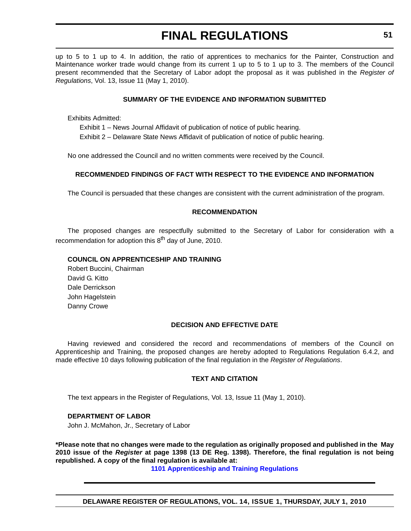up to 5 to 1 up to 4. In addition, the ratio of apprentices to mechanics for the Painter, Construction and Maintenance worker trade would change from its current 1 up to 5 to 1 up to 3. The members of the Council present recommended that the Secretary of Labor adopt the proposal as it was published in the *Register of Regulations*, Vol. 13, Issue 11 (May 1, 2010).

# **SUMMARY OF THE EVIDENCE AND INFORMATION SUBMITTED**

Exhibits Admitted:

Exhibit 1 – News Journal Affidavit of publication of notice of public hearing.

Exhibit 2 – Delaware State News Affidavit of publication of notice of public hearing.

No one addressed the Council and no written comments were received by the Council.

# **RECOMMENDED FINDINGS OF FACT WITH RESPECT TO THE EVIDENCE AND INFORMATION**

The Council is persuaded that these changes are consistent with the current administration of the program.

# **RECOMMENDATION**

The proposed changes are respectfully submitted to the Secretary of Labor for consideration with a recommendation for adoption this  $8<sup>th</sup>$  day of June, 2010.

# **COUNCIL ON APPRENTICESHIP AND TRAINING**

Robert Buccini, Chairman David G. Kitto Dale Derrickson John Hagelstein Danny Crowe

### **DECISION AND EFFECTIVE DATE**

Having reviewed and considered the record and recommendations of members of the Council on Apprenticeship and Training, the proposed changes are hereby adopted to Regulations Regulation 6.4.2, and made effective 10 days following publication of the final regulation in the *Register of Regulations*.

### **TEXT AND CITATION**

The text appears in the Register of Regulations, Vol. 13, Issue 11 (May 1, 2010).

### **DEPARTMENT OF LABOR**

John J. McMahon, Jr., Secretary of Labor

**\*Please note that no changes were made to the regulation as originally proposed and published in the May 2010 issue of the** *Register* **at page 1398 (13 DE Reg. 1398). Therefore, the final regulation is not being republished. A copy of the final regulation is available at:**

**[1101 Apprenticeship and Training Regulations](http://regulations.delaware.gov/register/july2010/final/14 DE Reg 50 07-01-10.htm)**

**DELAWARE REGISTER OF REGULATIONS, VOL. 14, ISSUE 1, THURSDAY, JULY 1, 2010**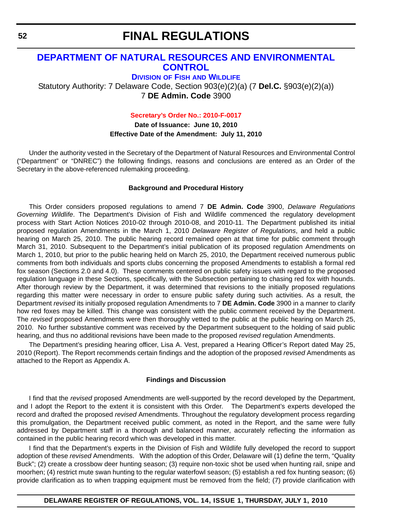# <span id="page-51-0"></span>**[DEPARTMENT OF NATURAL RESOURCES AND ENVIRONMENTAL](http://www.fw.delaware.gov/Pages/FWPortal.aspx)  CONTROL**

**DIVISION OF FISH AND WILDLIFE**

Statutory Authority: 7 Delaware Code, Section 903(e)(2)(a) (7 **Del.C.** §903(e)(2)(a)) 7 **DE Admin. Code** 3900

**[Secretary's Order No.: 2010-F-0017](#page-4-0)**

**Date of Issuance: June 10, 2010 Effective Date of the Amendment: July 11, 2010**

Under the authority vested in the Secretary of the Department of Natural Resources and Environmental Control ("Department" or "DNREC") the following findings, reasons and conclusions are entered as an Order of the Secretary in the above-referenced rulemaking proceeding.

#### **Background and Procedural History**

This Order considers proposed regulations to amend 7 **DE Admin. Code** 3900, *Delaware Regulations Governing Wildlife*. The Department's Division of Fish and Wildlife commenced the regulatory development process with Start Action Notices 2010-02 through 2010-08, and 2010-11. The Department published its initial proposed regulation Amendments in the March 1, 2010 *Delaware Register of Regulations*, and held a public hearing on March 25, 2010. The public hearing record remained open at that time for public comment through March 31, 2010. Subsequent to the Department's initial publication of its proposed regulation Amendments on March 1, 2010, but prior to the public hearing held on March 25, 2010, the Department received numerous public comments from both individuals and sports clubs concerning the proposed Amendments to establish a formal red fox season (Sections 2.0 and 4.0). These comments centered on public safety issues with regard to the proposed regulation language in these Sections, specifically, with the Subsection pertaining to chasing red fox with hounds. After thorough review by the Department, it was determined that revisions to the initially proposed regulations regarding this matter were necessary in order to ensure public safety during such activities. As a result, the Department *revised* its initially proposed regulation Amendments to 7 **DE Admin. Code** 3900 in a manner to clarify how red foxes may be killed. This change was consistent with the public comment received by the Department. The *revised* proposed Amendments were then thoroughly vetted to the public at the public hearing on March 25, 2010. No further substantive comment was received by the Department subsequent to the holding of said public hearing, and thus no additional revisions have been made to the proposed *revised* regulation Amendments.

The Department's presiding hearing officer, Lisa A. Vest, prepared a Hearing Officer's Report dated May 25, 2010 (Report). The Report recommends certain findings and the adoption of the proposed *revised* Amendments as attached to the Report as Appendix A.

# **Findings and Discussion**

I find that the *revised* proposed Amendments are well-supported by the record developed by the Department, and I adopt the Report to the extent it is consistent with this Order. The Department's experts developed the record and drafted the proposed *revised* Amendments. Throughout the regulatory development process regarding this promulgation, the Department received public comment, as noted in the Report, and the same were fully addressed by Department staff in a thorough and balanced manner, accurately reflecting the information as contained in the public hearing record which was developed in this matter.

I find that the Department's experts in the Division of Fish and Wildlife fully developed the record to support adoption of these *revised* Amendments. With the adoption of this Order, Delaware will (1) define the term, "Quality Buck"; (2) create a crossbow deer hunting season; (3) require non-toxic shot be used when hunting rail, snipe and moorhen; (4) restrict mute swan hunting to the regular waterfowl season; (5) establish a red fox hunting season; (6) provide clarification as to when trapping equipment must be removed from the field; (7) provide clarification with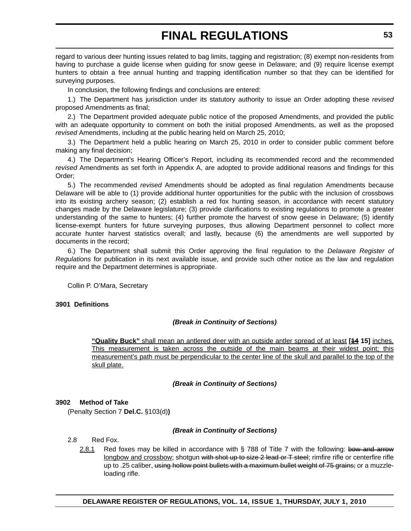regard to various deer hunting issues related to bag limits, tagging and registration; (8) exempt non-residents from having to purchase a guide license when guiding for snow geese in Delaware; and (9) require license exempt hunters to obtain a free annual hunting and trapping identification number so that they can be identified for surveying purposes.

In conclusion, the following findings and conclusions are entered:

1.) The Department has jurisdiction under its statutory authority to issue an Order adopting these *revised* proposed Amendments as final;

2.) The Department provided adequate public notice of the proposed Amendments, and provided the public with an adequate opportunity to comment on both the initial proposed Amendments, as well as the proposed *revised* Amendments, including at the public hearing held on March 25, 2010;

3.) The Department held a public hearing on March 25, 2010 in order to consider public comment before making any final decision;

4.) The Department's Hearing Officer's Report, including its recommended record and the recommended *revised* Amendments as set forth in Appendix A, are adopted to provide additional reasons and findings for this Order;

5.) The recommended *revised* Amendments should be adopted as final regulation Amendments because Delaware will be able to (1) provide additional hunter opportunities for the public with the inclusion of crossbows into its existing archery season; (2) establish a red fox hunting season, in accordance with recent statutory changes made by the Delaware legislature; (3) provide clarifications to existing regulations to promote a greater understanding of the same to hunters; (4) further promote the harvest of snow geese in Delaware; (5) identify license-exempt hunters for future surveying purposes, thus allowing Department personnel to collect more accurate hunter harvest statistics overall; and lastly, because (6) the amendments are well supported by documents in the record;

6.) The Department shall submit this Order approving the final regulation to the *Delaware Register of Regulations* for publication in its next available issue, and provide such other notice as the law and regulation require and the Department determines is appropriate.

Collin P. O'Mara, Secretary

### **3901 Definitions**

# *(Break in Continuity of Sections)*

**"Quality Buck"** shall mean an antlered deer with an outside antler spread of at least **[14 15]** inches. This measurement is taken across the outside of the main beams at their widest point; this measurement's path must be perpendicular to the center line of the skull and parallel to the top of the skull plate.

# *(Break in Continuity of Sections)*

# **3902 Method of Take**

(Penalty Section 7 **Del.C.** §103(d)**)**

### *(Break in Continuity of Sections)*

- 2.8 Red Fox.
	- 2.8.1 Red foxes may be killed in accordance with  $\S$  788 of Title 7 with the following: bow and arrow longbow and crossbow; shotgun with shot up to size 2 lead or T steel; rimfire rifle or centerfire rifle up to .25 caliber, using hollow point bullets with a maximum bullet weight of 75 grains; or a muzzleloading rifle.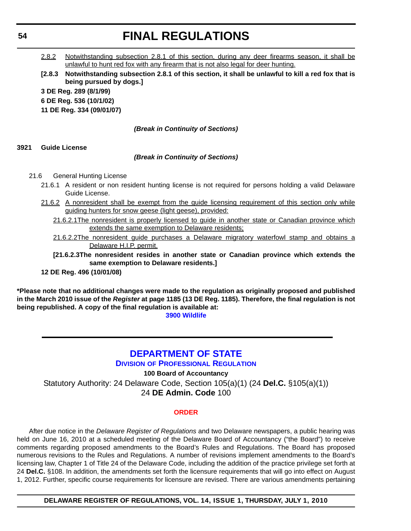<span id="page-53-0"></span>2.8.2 Notwithstanding subsection 2.8.1 of this section, during any deer firearms season, it shall be unlawful to hunt red fox with any firearm that is not also legal for deer hunting.

**[2.8.3 Notwithstanding subsection 2.8.1 of this section, it shall be unlawful to kill a red fox that is being pursued by dogs.] 3 DE Reg. 289 (8/1/99) 6 DE Reg. 536 (10/1/02) 11 DE Reg. 334 (09/01/07)**

# *(Break in Continuity of Sections)*

# **3921 Guide License**

# *(Break in Continuity of Sections)*

# 21.6 General Hunting License

- 21.6.1 A resident or non resident hunting license is not required for persons holding a valid Delaware Guide License.
- 21.6.2 A nonresident shall be exempt from the guide licensing requirement of this section only while guiding hunters for snow geese (light geese), provided:
	- 21.6.2.1The nonresident is properly licensed to guide in another state or Canadian province which extends the same exemption to Delaware residents;
	- 21.6.2.2The nonresident guide purchases a Delaware migratory waterfowl stamp and obtains a Delaware H.I.P. permit.

**[21.6.2.3The nonresident resides in another state or Canadian province which extends the same exemption to Delaware residents.]**

# **12 DE Reg. 496 (10/01/08)**

**\*Please note that no additional changes were made to the regulation as originally proposed and published in the March 2010 issue of the** *Register* **at page 1185 (13 DE Reg. 1185). Therefore, the final regulation is not being republished. A copy of the final regulation is available at: [3900 Wildlife](http://regulations.delaware.gov/register/july2010/final/14 DE Reg 52 07-01-10.htm)**

# **[DEPARTMENT OF STATE](http://dpr.delaware.gov/default.shtml)**

**DIVISION OF PROFESSIONAL REGULATION**

# **100 Board of Accountancy**

Statutory Authority: 24 Delaware Code, Section 105(a)(1) (24 **Del.C.** §105(a)(1)) 24 **DE Admin. Code** 100

### **[ORDER](#page-4-0)**

After due notice in the *Delaware Register of Regulations* and two Delaware newspapers, a public hearing was held on June 16, 2010 at a scheduled meeting of the Delaware Board of Accountancy ("the Board") to receive comments regarding proposed amendments to the Board's Rules and Regulations. The Board has proposed numerous revisions to the Rules and Regulations. A number of revisions implement amendments to the Board's licensing law, Chapter 1 of Title 24 of the Delaware Code, including the addition of the practice privilege set forth at 24 **Del.C.** §108. In addition, the amendments set forth the licensure requirements that will go into effect on August 1, 2012. Further, specific course requirements for licensure are revised. There are various amendments pertaining

**DELAWARE REGISTER OF REGULATIONS, VOL. 14, ISSUE 1, THURSDAY, JULY 1, 2010**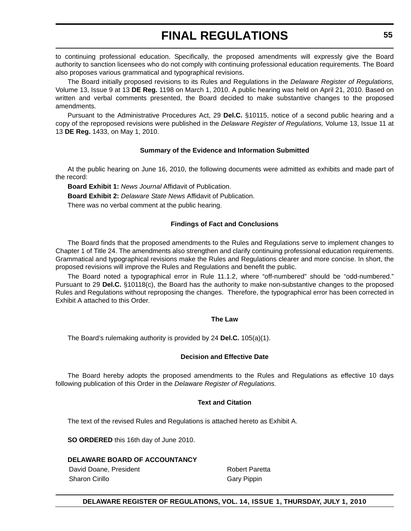to continuing professional education. Specifically, the proposed amendments will expressly give the Board authority to sanction licensees who do not comply with continuing professional education requirements. The Board also proposes various grammatical and typographical revisions.

The Board initially proposed revisions to its Rules and Regulations in the *Delaware Register of Regulations,* Volume 13, Issue 9 at 13 **DE Reg.** 1198 on March 1, 2010. A public hearing was held on April 21, 2010. Based on written and verbal comments presented, the Board decided to make substantive changes to the proposed amendments.

Pursuant to the Administrative Procedures Act, 29 **Del.C.** §10115, notice of a second public hearing and a copy of the reproposed revisions were published in the *Delaware Register of Regulations,* Volume 13, Issue 11 at 13 **DE Reg.** 1433, on May 1, 2010.

# **Summary of the Evidence and Information Submitted**

At the public hearing on June 16, 2010, the following documents were admitted as exhibits and made part of the record:

**Board Exhibit 1:** *News Journal* Affidavit of Publication.

**Board Exhibit 2:** *Delaware State News* Affidavit of Publication.

There was no verbal comment at the public hearing.

# **Findings of Fact and Conclusions**

The Board finds that the proposed amendments to the Rules and Regulations serve to implement changes to Chapter 1 of Title 24. The amendments also strengthen and clarify continuing professional education requirements. Grammatical and typographical revisions make the Rules and Regulations clearer and more concise. In short, the proposed revisions will improve the Rules and Regulations and benefit the public.

The Board noted a typographical error in Rule 11.1.2, where "off-numbered" should be "odd-numbered." Pursuant to 29 **Del.C.** §10118(c), the Board has the authority to make non-substantive changes to the proposed Rules and Regulations without reproposing the changes. Therefore, the typographical error has been corrected in Exhibit A attached to this Order.

### **The Law**

The Board's rulemaking authority is provided by 24 **Del.C.** 105(a)(1).

### **Decision and Effective Date**

The Board hereby adopts the proposed amendments to the Rules and Regulations as effective 10 days following publication of this Order in the *Delaware Register of Regulations.*

# **Text and Citation**

The text of the revised Rules and Regulations is attached hereto as Exhibit A.

**SO ORDERED** this 16th day of June 2010.

# **DELAWARE BOARD OF ACCOUNTANCY**

David Doane, President **Robert Paretta** Sharon Cirillo **Gary Pippin** Gary Pippin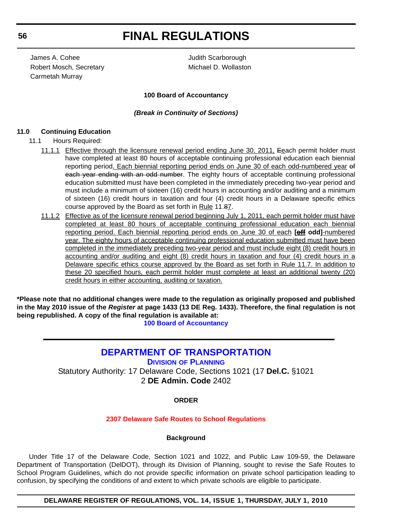<span id="page-55-0"></span>James A. Cohee Judith Scarborough Robert Mosch, Secretary Michael D. Wollaston Carmetah Murray

# **100 Board of Accountancy**

# *(Break in Continuity of Sections)*

# **11.0 Continuing Education**

- 11.1 Hours Required:
	- 11.1.1 Effective through the licensure renewal period ending June 30, 2011, Eeach permit holder must have completed at least 80 hours of acceptable continuing professional education each biennial reporting period. Each biennial reporting period ends on June 30 of each odd-numbered year of each year ending with an odd number. The eighty hours of acceptable continuing professional education submitted must have been completed in the immediately preceding two-year period and must include a minimum of sixteen (16) credit hours in accounting and/or auditing and a minimum of sixteen (16) credit hours in taxation and four (4) credit hours in a Delaware specific ethics course approved by the Board as set forth in Rule 11.87.
	- 11.1.2 Effective as of the licensure renewal period beginning July 1, 2011, each permit holder must have completed at least 80 hours of acceptable continuing professional education each biennial reporting period. Each biennial reporting period ends on June 30 of each **[off odd]**-numbered year. The eighty hours of acceptable continuing professional education submitted must have been completed in the immediately preceding two-year period and must include eight (8) credit hours in accounting and/or auditing and eight (8) credit hours in taxation and four (4) credit hours in a Delaware specific ethics course approved by the Board as set forth in Rule 11.7. In addition to these 20 specified hours, each permit holder must complete at least an additional twenty (20) credit hours in either accounting, auditing or taxation.

**\*Please note that no additional changes were made to the regulation as originally proposed and published in the May 2010 issue of the** *Register* **at page 1433 (13 DE Reg. 1433). Therefore, the final regulation is not being republished. A copy of the final regulation is available at:**

**[100 Board of Accountancy](http://regulations.delaware.gov/register/july2010/final/14 DE Reg 54 07-01-10.htm)**

# **[DEPARTMENT OF TRANSPORTATION](http://www.deldot.gov/home/divisions/)**

**DIVISION OF PLANNING**

Statutory Authority: 17 Delaware Code, Sections 1021 (17 **Del.C.** §1021 2 **DE Admin. Code** 2402

### **ORDER**

### **[2307 Delaware Safe Routes to School Regulations](#page-4-0)**

### **Background**

Under Title 17 of the Delaware Code, Section 1021 and 1022, and Public Law 109-59, the Delaware Department of Transportation (DelDOT), through its Division of Planning, sought to revise the Safe Routes to School Program Guidelines, which do not provide specific information on private school participation leading to confusion, by specifying the conditions of and extent to which private schools are eligible to participate.

**DELAWARE REGISTER OF REGULATIONS, VOL. 14, ISSUE 1, THURSDAY, JULY 1, 2010**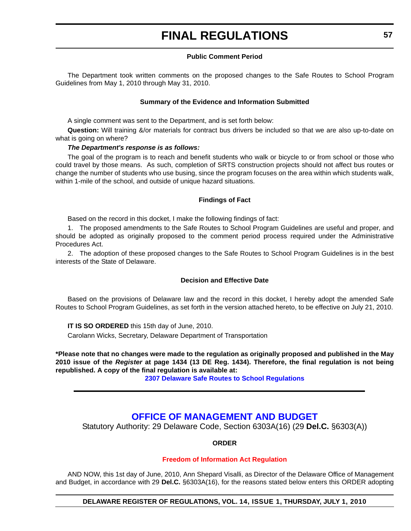# **Public Comment Period**

<span id="page-56-0"></span>The Department took written comments on the proposed changes to the Safe Routes to School Program Guidelines from May 1, 2010 through May 31, 2010.

### **Summary of the Evidence and Information Submitted**

A single comment was sent to the Department, and is set forth below:

**Question:** Will training &/or materials for contract bus drivers be included so that we are also up-to-date on what is going on where?

# *The Department's response is as follows:*

The goal of the program is to reach and benefit students who walk or bicycle to or from school or those who could travel by those means. As such, completion of SRTS construction projects should not affect bus routes or change the number of students who use busing, since the program focuses on the area within which students walk, within 1-mile of the school, and outside of unique hazard situations.

### **Findings of Fact**

Based on the record in this docket, I make the following findings of fact:

1. The proposed amendments to the Safe Routes to School Program Guidelines are useful and proper, and should be adopted as originally proposed to the comment period process required under the Administrative Procedures Act.

2. The adoption of these proposed changes to the Safe Routes to School Program Guidelines is in the best interests of the State of Delaware.

### **Decision and Effective Date**

Based on the provisions of Delaware law and the record in this docket, I hereby adopt the amended Safe Routes to School Program Guidelines, as set forth in the version attached hereto, to be effective on July 21, 2010.

**IT IS SO ORDERED** this 15th day of June, 2010.

Carolann Wicks, Secretary, Delaware Department of Transportation

**\*Please note that no changes were made to the regulation as originally proposed and published in the May 2010 issue of the** *Register* **at page 1434 (13 DE Reg. 1434). Therefore, the final regulation is not being republished. A copy of the final regulation is available at:**

**[2307 Delaware Safe Routes to School Regulations](http://regulations.delaware.gov/register/july2010/final/14 DE Reg 56 07-01-10.htm)**

# **[OFFICE OF MANAGEMENT AND BUDGET](http://omb.delaware.gov/)**

Statutory Authority: 29 Delaware Code, Section 6303A(16) (29 **Del.C.** §6303(A))

**ORDER**

# **[Freedom of Information Act Regulation](#page-4-0)**

AND NOW, this 1st day of June, 2010, Ann Shepard Visalli, as Director of the Delaware Office of Management and Budget, in accordance with 29 **Del.C.** §6303A(16), for the reasons stated below enters this ORDER adopting

**DELAWARE REGISTER OF REGULATIONS, VOL. 14, ISSUE 1, THURSDAY, JULY 1, 2010**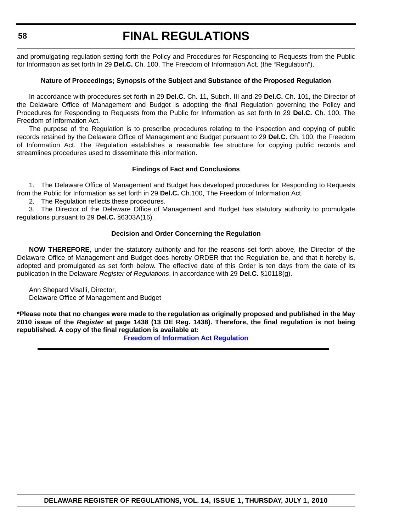and promulgating regulation setting forth the Policy and Procedures for Responding to Requests from the Public for Information as set forth In 29 **Del.C.** Ch. 100, The Freedom of Information Act. (the "Regulation").

# **Nature of Proceedings; Synopsis of the Subject and Substance of the Proposed Regulation**

In accordance with procedures set forth in 29 **Del.C.** Ch. 11, Subch. III and 29 **Del.C.** Ch. 101, the Director of the Delaware Office of Management and Budget is adopting the final Regulation governing the Policy and Procedures for Responding to Requests from the Public for Information as set forth In 29 **Del.C.** Ch. 100, The Freedom of Information Act.

The purpose of the Regulation is to prescribe procedures relating to the inspection and copying of public records retained by the Delaware Office of Management and Budget pursuant to 29 **Del.C.** Ch. 100, the Freedom of Information Act. The Regulation establishes a reasonable fee structure for copying public records and streamlines procedures used to disseminate this information.

# **Findings of Fact and Conclusions**

1. The Delaware Office of Management and Budget has developed procedures for Responding to Requests from the Public for Information as set forth in 29 **Del.C.** Ch.100, The Freedom of Information Act.

2. The Regulation reflects these procedures.

3. The Director of the Delaware Office of Management and Budget has statutory authority to promulgate regulations pursuant to 29 **Del.C.** §6303A(16).

# **Decision and Order Concerning the Regulation**

**NOW THEREFORE**, under the statutory authority and for the reasons set forth above, the Director of the Delaware Office of Management and Budget does hereby ORDER that the Regulation be, and that it hereby is, adopted and promulgated as set forth below. The effective date of this Order is ten days from the date of its publication in the Delaware *Register of Regulations*, in accordance with 29 **Del.C.** §10118(g).

Ann Shepard Visalli, Director,

Delaware Office of Management and Budget

**\*Please note that no changes were made to the regulation as originally proposed and published in the May 2010 issue of the** *Register* **at page 1438 (13 DE Reg. 1438). Therefore, the final regulation is not being republished. A copy of the final regulation is available at:**

**[Freedom of Information Act Regulation](http://regulations.delaware.gov/register/july2010/final/14 DE Reg 57 07-01-10.htm)**

```
58
```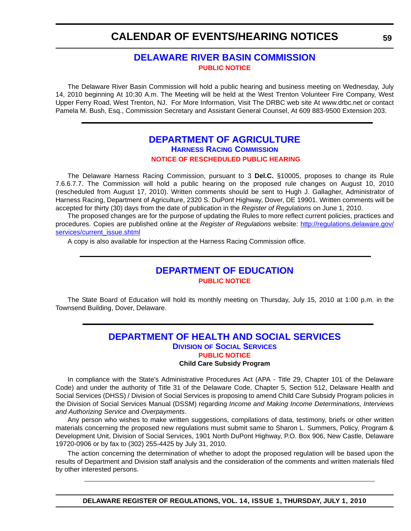# **[DELAWARE RIVER BASIN COMMISSION](http://www.state.nj.us/drbc/) [PUBLIC NOTICE](#page-4-0)**

<span id="page-58-0"></span>The Delaware River Basin Commission will hold a public hearing and business meeting on Wednesday, July 14, 2010 beginning At 10:30 A.m. The Meeting will be held at the West Trenton Volunteer Fire Company, West Upper Ferry Road, West Trenton, NJ. For More Information, Visit The DRBC web site At www.drbc.net or contact Pamela M. Bush, Esq., Commission Secretary and Assistant General Counsel, At 609 883-9500 Extension 203.

# **[DEPARTMENT OF AGRICULTURE](http://dda.delaware.gov/harness/index.shtml) HARNESS RACING COMMISSION [NOTICE OF RESCHEDULED PUBLIC HEARING](#page-4-0)**

The Delaware Harness Racing Commission, pursuant to 3 **Del.C.** §10005, proposes to change its Rule 7.6.6.7.7. The Commission will hold a public hearing on the proposed rule changes on August 10, 2010 (rescheduled from August 17, 2010). Written comments should be sent to Hugh J. Gallagher, Administrator of Harness Racing, Department of Agriculture, 2320 S. DuPont Highway, Dover, DE 19901. Written comments will be accepted for thirty (30) days from the date of publication in the *Register of Regulations* on June 1, 2010.

The proposed changes are for the purpose of updating the Rules to more reflect current policies, practices and procedures. Copies are published online at the *Register of Regulations* website: http://regulations.delaware.gov/ services/current\_issue.shtml

A copy is also available for inspection at the Harness Racing Commission office.

# **[DEPARTMENT OF EDUCATION](http://dda.delaware.gov/harness/index.shtml) [PUBLIC NOTICE](#page-4-0)**

The State Board of Education will hold its monthly meeting on Thursday, July 15, 2010 at 1:00 p.m. in the Townsend Building, Dover, Delaware.

# **[DEPARTMENT OF HEALTH AND SOCIAL SERVICES](http://www.dhss.delaware.gov/dhss/dss/index.html) DIVISION OF SOCIAL SERVICES [PUBLIC NOTICE](#page-4-0) Child Care Subsidy Program**

In compliance with the State's Administrative Procedures Act (APA - Title 29, Chapter 101 of the Delaware Code) and under the authority of Title 31 of the Delaware Code, Chapter 5, Section 512, Delaware Health and Social Services (DHSS) / Division of Social Services is proposing to amend Child Care Subsidy Program policies in the Division of Social Services Manual (DSSM) regarding *Income and Making Income Determinations, Interviews and Authorizing Service* and *Overpayments*.

Any person who wishes to make written suggestions, compilations of data, testimony, briefs or other written materials concerning the proposed new regulations must submit same to Sharon L. Summers, Policy, Program & Development Unit, Division of Social Services, 1901 North DuPont Highway, P.O. Box 906, New Castle, Delaware 19720-0906 or by fax to (302) 255-4425 by July 31, 2010.

The action concerning the determination of whether to adopt the proposed regulation will be based upon the results of Department and Division staff analysis and the consideration of the comments and written materials filed by other interested persons.

**DELAWARE REGISTER OF REGULATIONS, VOL. 14, ISSUE 1, THURSDAY, JULY 1, 2010**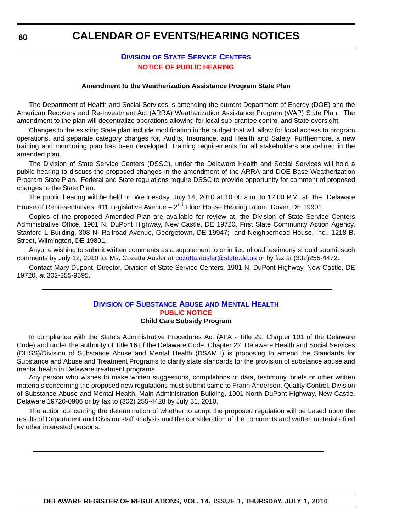# **DIVISION [OF STATE SERVICE CENTERS](http://www.dhss.delaware.gov/dhss/dssc/index.html) [NOTICE OF PUBLIC HEARING](#page-4-0)**

#### **Amendment to the Weatherization Assistance Program State Plan**

<span id="page-59-0"></span>The Department of Health and Social Services is amending the current Department of Energy (DOE) and the American Recovery and Re-Investment Act (ARRA) Weatherization Assistance Program (WAP) State Plan. The amendment to the plan will decentralize operations allowing for local sub-grantee control and State oversight.

Changes to the existing State plan include modification in the budget that will allow for local access to program operations, and separate category charges for, Audits, Insurance, and Health and Safety. Furthermore, a new training and monitoring plan has been developed. Training requirements for all stakeholders are defined in the amended plan.

The Division of State Service Centers (DSSC), under the Delaware Health and Social Services will hold a public hearing to discuss the proposed changes in the amendment of the ARRA and DOE Base Weatherization Program State Plan. Federal and State regulations require DSSC to provide opportunity for comment of proposed changes to the State Plan.

The public hearing will be held on Wednesday, July 14, 2010 at 10:00 a.m. to 12:00 P.M. at the Delaware House of Representatives, 411 Legislative Avenue – 2<sup>nd</sup> Floor House Hearing Room, Dover, DE 19901

Copies of the proposed Amended Plan are available for review at: the Division of State Service Centers Administrative Office, 1901 N. DuPont Highway, New Castle, DE 19720, First State Community Action Agency, Stanford L Building, 308 N. Railroad Avenue, Georgetown, DE 19947; and Neighborhood House, Inc., 1218 B. Street, Wilmington, DE 19801.

Anyone wishing to submit written comments as a supplement to or in lieu of oral testimony should submit such comments by July 12, 2010 to: Ms. Cozetta Ausler at cozetta.ausler@state.de.us or by fax at (302)255-4472.

Contact Mary Dupont, Director, Division of State Service Centers, 1901 N. DuPont Highway, New Castle, DE 19720, at 302-255-9695.

# **DIVISION [OF SUBSTANCE ABUSE](http://www.dhss.delaware.gov/dhss/dsamh/index.html) AND MENTAL HEALTH [PUBLIC NOTICE](#page-4-0)**

**Child Care Subsidy Program**

In compliance with the State's Administrative Procedures Act (APA - Title 29, Chapter 101 of the Delaware Code) and under the authority of Title 16 of the Delaware Code, Chapter 22, Delaware Health and Social Services (DHSS)/Division of Substance Abuse and Mental Health (DSAMH) is proposing to amend the Standards for Substance and Abuse and Treatment Programs to clarify state standards for the provision of substance abuse and mental health in Delaware treatment programs.

Any person who wishes to make written suggestions, compilations of data, testimony, briefs or other written materials concerning the proposed new regulations must submit same to Frann Anderson, Quality Control, Division of Substance Abuse and Mental Health, Main Administration Building, 1901 North DuPont Highway, New Castle, Delaware 19720-0906 or by fax to (302) 255-4428 by July 31, 2010.

The action concerning the determination of whether to adopt the proposed regulation will be based upon the results of Department and Division staff analysis and the consideration of the comments and written materials filed by other interested persons.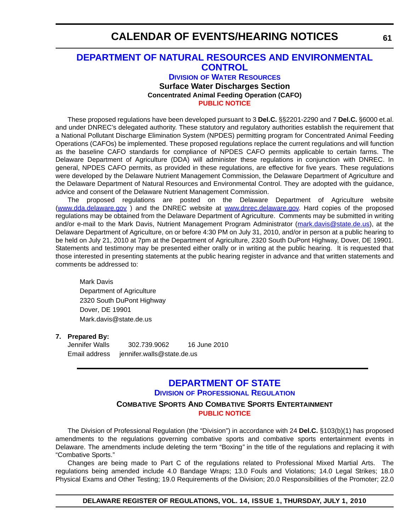# <span id="page-60-0"></span>**[DEPARTMENT OF NATURAL RESOURCES AND ENVIRONMENTAL](http://www.wr.dnrec.delaware.gov/Pages/Default.aspx)  CONTROL**

**DIVISION OF WATER RESOURCES Surface Water Discharges Section Concentrated Animal Feeding Operation (CAFO) [PUBLIC NOTICE](#page-4-0)**

These proposed regulations have been developed pursuant to 3 **Del.C.** §§2201-2290 and 7 **Del.C.** §6000 et.al. and under DNREC's delegated authority. These statutory and regulatory authorities establish the requirement that a National Pollutant Discharge Elimination System (NPDES) permitting program for Concentrated Animal Feeding Operations (CAFOs) be implemented. These proposed regulations replace the current regulations and will function as the baseline CAFO standards for compliance of NPDES CAFO permits applicable to certain farms. The Delaware Department of Agriculture (DDA) will administer these regulations in conjunction with DNREC. In general, NPDES CAFO permits, as provided in these regulations, are effective for five years. These regulations were developed by the Delaware Nutrient Management Commission, the Delaware Department of Agriculture and the Delaware Department of Natural Resources and Environmental Control. They are adopted with the guidance, advice and consent of the Delaware Nutrient Management Commission.

The proposed regulations are posted on the Delaware Department of Agriculture website (www.dda.delaware.gov ) and the DNREC website at www.dnrec.delaware.gov. Hard copies of the proposed regulations may be obtained from the Delaware Department of Agriculture. Comments may be submitted in writing and/or e-mail to the Mark Davis, Nutrient Management Program Administrator (mark.davis@state.de.us), at the Delaware Department of Agriculture, on or before 4:30 PM on July 31, 2010, and/or in person at a public hearing to be held on July 21, 2010 at 7pm at the Department of Agriculture, 2320 South DuPont Highway, Dover, DE 19901. Statements and testimony may be presented either orally or in writing at the public hearing. It is requested that those interested in presenting statements at the public hearing register in advance and that written statements and comments be addressed to:

Mark Davis Department of Agriculture 2320 South DuPont Highway Dover, DE 19901 Mark.davis@state.de.us

### **7. Prepared By:**

Jennifer Walls 302.739.9062 16 June 2010 Email address jennifer.walls@state.de.us

# **[DEPARTMENT OF STATE](http://dpr.delaware.gov/default.shtml) DIVISION OF PROFESSIONAL REGULATION COMBATIVE SPORTS AND COMBATIVE SPORTS ENTERTAINMENT**

**[PUBLIC NOTICE](#page-4-0)**

The Division of Professional Regulation (the "Division") in accordance with 24 **Del.C.** §103(b)(1) has proposed amendments to the regulations governing combative sports and combative sports entertainment events in Delaware. The amendments include deleting the term "Boxing*"* in the title of the regulations and replacing it with "Combative Sports."

Changes are being made to Part C of the regulations related to Professional Mixed Martial Arts. The regulations being amended include 4.0 Bandage Wraps; 13.0 Fouls and Violations; 14.0 Legal Strikes; 18.0 Physical Exams and Other Testing; 19.0 Requirements of the Division; 20.0 Responsibilities of the Promoter; 22.0

**DELAWARE REGISTER OF REGULATIONS, VOL. 14, ISSUE 1, THURSDAY, JULY 1, 2010**